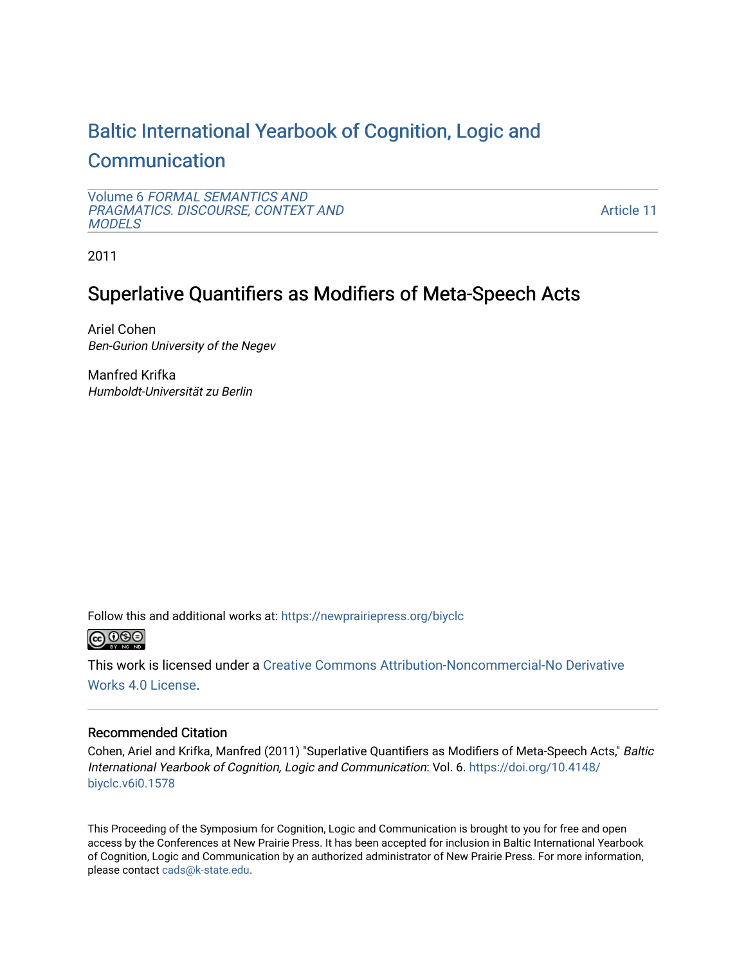# [Baltic International Yearbook of Cognition, Logic and](https://newprairiepress.org/biyclc)

# **[Communication](https://newprairiepress.org/biyclc)**

Volume 6 [FORMAL SEMANTICS AND](https://newprairiepress.org/biyclc/vol6) [PRAGMATICS. DISCOURSE, CONTEXT AND](https://newprairiepress.org/biyclc/vol6)  **[MODELS](https://newprairiepress.org/biyclc/vol6)** 

[Article 11](https://newprairiepress.org/biyclc/vol6/iss1/11) 

2011

# Superlative Quantifiers as Modifiers of Meta-Speech Acts

Ariel Cohen Ben-Gurion University of the Negev

Manfred Krifka Humboldt-Universität zu Berlin

Follow this and additional works at: [https://newprairiepress.org/biyclc](https://newprairiepress.org/biyclc?utm_source=newprairiepress.org%2Fbiyclc%2Fvol6%2Fiss1%2F11&utm_medium=PDF&utm_campaign=PDFCoverPages) 



This work is licensed under a [Creative Commons Attribution-Noncommercial-No Derivative](https://creativecommons.org/licenses/by-nc-nd/4.0/)  [Works 4.0 License](https://creativecommons.org/licenses/by-nc-nd/4.0/).

# Recommended Citation

Cohen, Ariel and Krifka, Manfred (2011) "Superlative Quantifiers as Modifiers of Meta-Speech Acts," Baltic International Yearbook of Cognition, Logic and Communication: Vol. 6. [https://doi.org/10.4148/](https://doi.org/10.4148/biyclc.v6i0.1578) [biyclc.v6i0.1578](https://doi.org/10.4148/biyclc.v6i0.1578) 

This Proceeding of the Symposium for Cognition, Logic and Communication is brought to you for free and open access by the Conferences at New Prairie Press. It has been accepted for inclusion in Baltic International Yearbook of Cognition, Logic and Communication by an authorized administrator of New Prairie Press. For more information, please contact [cads@k-state.edu.](mailto:cads@k-state.edu)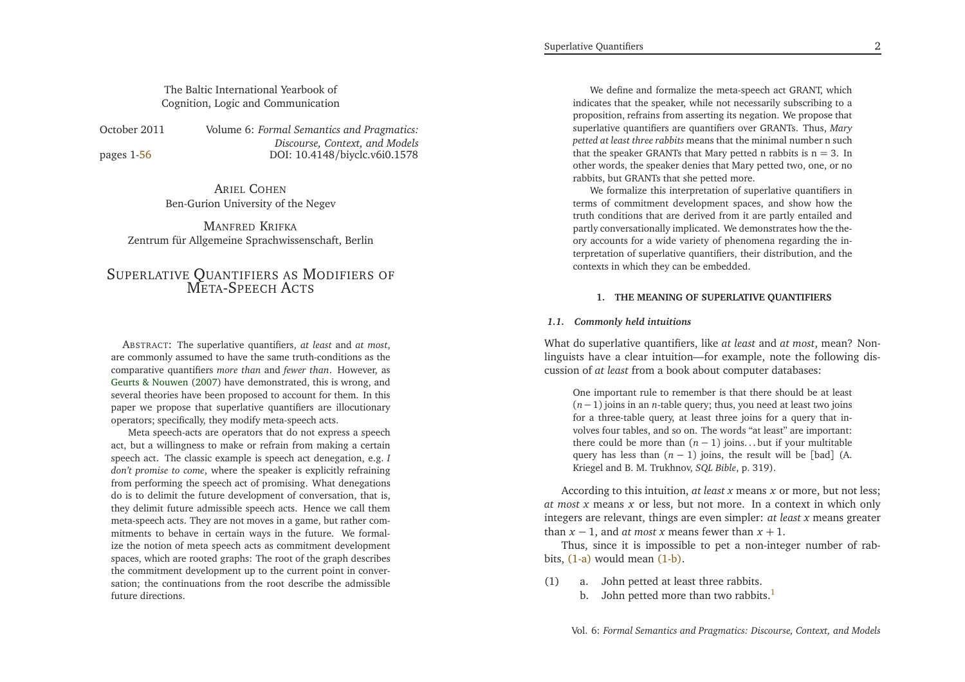# <span id="page-1-0"></span>The Baltic International Yearbook ofCognition, Logic and Communication

<span id="page-1-1"></span>October 2011

pages 1[-56](#page-28-0)

 *Formal Semantics and Pragmatics: Discourse, Context, and Models*DOI: 10.4148/biyclc.v6i0.1578

ARIEL <sup>C</sup>OHENBen-Gurion University of the Negev

MANFRED <sup>K</sup>RIFKA Zentrum für Allgemeine Sprachwissenschaft, Berlin

# <span id="page-1-2"></span>SUPERLATIVE QUANTIFIERS AS <sup>M</sup>ODIFIERS OF META-SPEECH <sup>A</sup>CTS

ABSTRACT: The superlative quantifiers, *at least* and *at most*, are commonly assumed to have the same truth-conditions as the comparative quantifiers *more than* and *fewer than*. However, as Geurts & [Nouwen](#page-28-1) [\(2007\)](#page-28-1) have demonstrated, this is wrong, and several theories have been proposed to account for them. In this paper we propose that superlative quantifiers are illocutionaryoperators; specifically, they modify meta-speech acts.

Meta speech-acts are operators that do not express <sup>a</sup> speech act, but <sup>a</sup> willingness to make or refrain from making <sup>a</sup> certain speech act. The classic example is speech act denegation, e.g. *<sup>I</sup> don't promise to come*, where the speaker is explicitly refraining from performing the speech act of promising. What denegations do is to delimit the future development of conversation, that is, they delimit future admissible speech acts. Hence we call them meta-speech acts. They are not moves in <sup>a</sup> game, but rather com mitments to behave in certain ways in the future. We formalize the notion of meta speech acts as commitment development spaces, which are rooted graphs: The root of the graph describes the commitment development up to the current point in conver sation; the continuations from the root describe the admissiblefuture directions.

We define and formalize the meta-speech act GRANT, which indicates that the speaker, while not necessarily subscribing to <sup>a</sup> proposition, refrains from asserting its negation. We propose that superlative quantifiers are quantifiers over GRANTs. Thus, *Mary petted at least three rabbits* means that the minimal number <sup>n</sup> suchthat the speaker GRANTs that Mary petted n rabbits is  $n = 3$ . In other words, the speaker denies that Mary petted two, one, or norabbits, but GRANTs that she petted more.

We formalize this interpretation of superlative quantifiers in terms of commitment development spaces, and show how the truth conditions that are derived from it are partly entailed and partly conversationally implicated. We demonstrates how the theory accounts for <sup>a</sup> wide variety of <sup>p</sup>henomena regarding the in terpretation of superlative quantifiers, their distribution, and thecontexts in which they can be embedded.

#### **1. THE MEANING OF SUPERLATIVE QUANTIFIERS**

# *1.1. Commonly held intuitions*

What do superlative quantifiers, like *at least* and *at most*, mean? Nonlinguists have <sup>a</sup> clear intuition—for example, note the following discussion of *at least* from <sup>a</sup> book about computer databases:

One important rule to remember is that there should be at least (*<sup>n</sup>*−1) joins in an *<sup>n</sup>*-table query; thus, you need at least two joins for <sup>a</sup> three-table query, at least three joins for <sup>a</sup> query that involves four tables, and so on. The words "at least" are important:there could be more than  $(n-1)$  joins... but if your multitable query has less than  $(n-1)$  joins, the result will be [bad] (A. Kriegel and B. M. Trukhnov, *SQL Bible*, p. 319).

According to this intuition, *at least <sup>x</sup>* means *<sup>x</sup>* or more, but not less; *at most <sup>x</sup>* means *<sup>x</sup>* or less, but not more. In <sup>a</sup> context in which only integers are relevant, things are even simpler: *at least <sup>x</sup>* means greater than  $x - 1$ , and *at most*  $x$  means fewer than  $x + 1$ .

Thus, since it is impossible to pe<sup>t</sup> <sup>a</sup> non-integer number of rabbits, [\(1-a\)](#page-1-0) would mean [\(1-b\).](#page-1-1)

- (1) a. John petted at least three rabbits.
	- b. John petted more than two rabbits. $<sup>1</sup>$  $<sup>1</sup>$  $<sup>1</sup>$ </sup>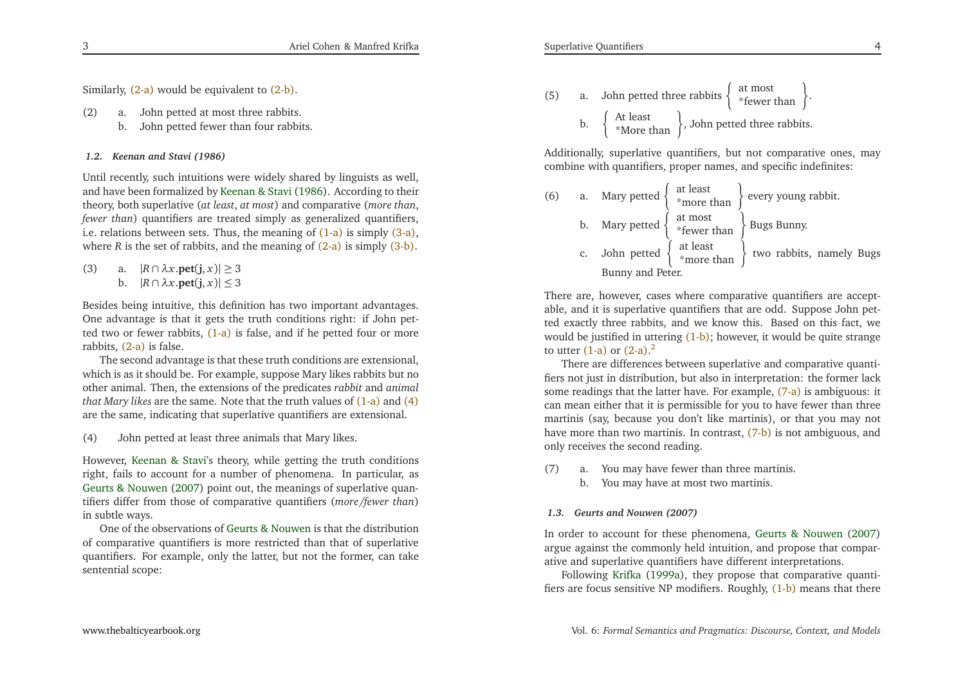Similarly, [\(2-a\)](#page-2-0) would be equivalent to [\(2-b\).](#page-2-1)

(2) a. John petted at most three rabbits. b. John petted fewer than four rabbits.

<span id="page-2-6"></span><span id="page-2-5"></span>

# <span id="page-2-7"></span>*1.2. Keenan and Stavi (1986)*

Until recently, such intuitions were widely shared by linguists as well, and have been formalized by [Keenan](#page-28-2) & Stavi [\(1986\)](#page-28-2). According to their theory, both superlative (*at least*, *at most*) and comparative (*more than*, *fewer than*) quantifiers are treated simply as generalized quantifiers, i.e. relations between sets. Thus, the meaning of [\(1-a\)](#page-1-0) is simply [\(3-a\),](#page-2-2) where *R* is the set of rabbits, and the meaning of  $(2-a)$  is simply  $(3-b)$ .

(3) a. |*<sup>R</sup>*∩*λ<sup>x</sup>*.**pet**(**j**, *<sup>x</sup>*)<sup>|</sup> <sup>≥</sup> <sup>3</sup> b.  $|R \cap \lambda x.\text{pet}(j, x)| \leq 3$ 

Besides being intuitive, this definition has two important advantages. One advantage is that it gets the truth conditions right: if John pet-ted two or fewer rabbits, [\(1-a\)](#page-1-0) is false, and if he petted four or more rabbits, [\(2-a\)](#page-2-0) is false.

The second advantage is that these truth conditions are extensional, which is as it should be. For example, suppose Mary likes rabbits but no other animal. Then, the extensions of the predicates *rabbit* and *animal that Mary likes* are the same. Note that the truth values of [\(1-a\)](#page-1-0) and [\(4\)](#page-2-4) are the same, indicating that superlative quantifiers are extensional.

<span id="page-2-4"></span>(4) John petted at least three animals that Mary likes.

However, [Keenan](#page-28-2) & Stavi's theory, while getting the truth conditions right, fails to account for <sup>a</sup> number of <sup>p</sup>henomena. In particular, as Geurts & [Nouwen](#page-28-1) [\(2007](#page-28-1)) point out, the meanings of superlative quantifiers differ from those of comparative quantifiers (*more/fewer than*)in subtle ways.

One of the observations of Geurts & [Nouwen](#page-28-1) is that the distribution of comparative quantifiers is more restricted than that of superlative quantifiers. For example, only the latter, but not the former, can takesentential scope:

 $\Delta$ 

<span id="page-2-3"></span><span id="page-2-2"></span><span id="page-2-1"></span><span id="page-2-0"></span>(5) a. John petted three rabbits 
$$
\left\{\begin{array}{c}\text{at most}\\ * \text{fewer than }\end{array}\right\}
$$
.

\nb.  $\left\{\begin{array}{c}\text{At least}\\ * \text{More than}\end{array}\right\}$ , John petted three rabbits.

Additionally, superlative quantifiers, but not comparative ones, maycombine with quantifiers, proper names, and specific indefinites:

<span id="page-2-9"></span>

|    |                                                                                              | (6) a. Mary petted $\begin{cases} \text{at least} \\ \text{*more than} \end{cases}$ every young rabbit.                     |
|----|----------------------------------------------------------------------------------------------|-----------------------------------------------------------------------------------------------------------------------------|
|    | b. Mary petted $\begin{cases} \text{at most} \\ * \text{fewer than} \end{cases}$ Bugs Bunny. |                                                                                                                             |
| c. |                                                                                              | John petted $\left\{\begin{array}{c} \text{at least} \\ \ast \text{more than} \end{array}\right\}$ two rabbits, namely Bugs |
|    | Bunny and Peter.                                                                             |                                                                                                                             |

There are, however, cases where comparative quantifiers are acceptable, and it is superlative quantifiers that are odd. Suppose John petted exactly three rabbits, and we know this. Based on this fact, wewould be justified in uttering [\(1-b\);](#page-1-1) however, it would be quite strange to utter  $(1-a)$  or  $(2-a).<sup>2</sup>$  $(2-a).<sup>2</sup>$  $(2-a).<sup>2</sup>$  $(2-a).<sup>2</sup>$ 

<span id="page-2-8"></span>There are differences between superlative and comparative quantifiers not just in distribution, but also in interpretation: the former lacksome readings that the latter have. For example, [\(7-a\)](#page-2-5) is ambiguous: it can mean either that it is permissible for you to have fewer than three martinis (say, because you don't like martinis), or that you may not have more than two martinis. In contrast, [\(7-b\)](#page-2-6) is not ambiguous, and only receives the second reading.

- (7) a. You may have fewer than three martinis.
	- b. You may have at most two martinis.

#### *1.3. Geurts and Nouwen (2007)*

In order to account for these <sup>p</sup>henomena, Geurts & [Nouwen](#page-28-1) [\(2007](#page-28-1)) argue against the commonly held intuition, and propose that comparative and superlative quantifiers have different interpretations.

Following [Krifka](#page-28-3) [\(1999a](#page-28-3)), they propose that comparative quantifiers are focus sensitive NP modifiers. Roughly, [\(1-b\)](#page-1-1) means that there

3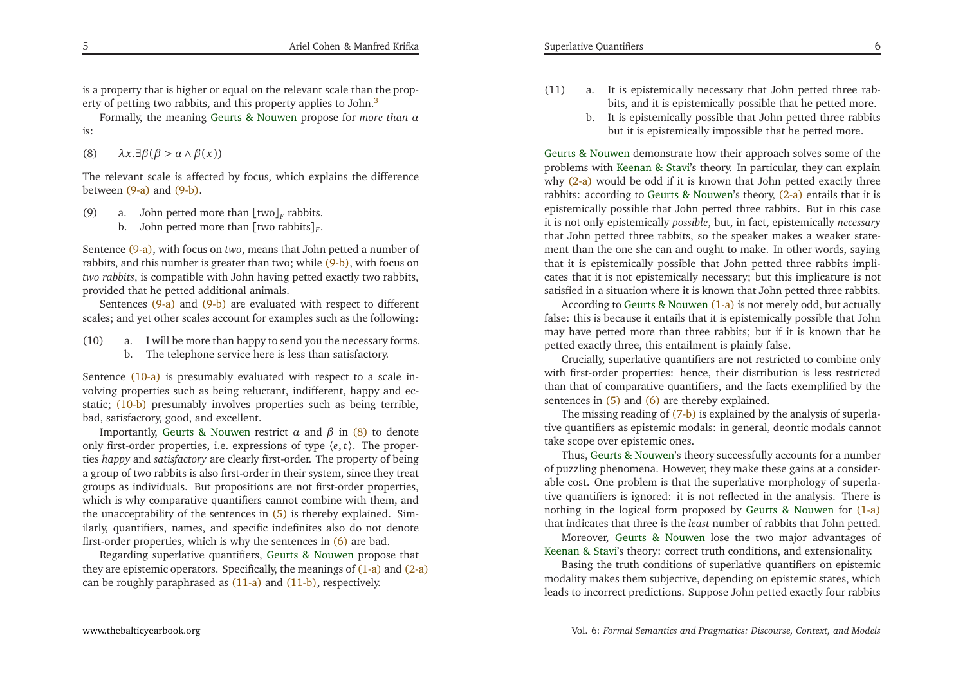<span id="page-3-5"></span>is <sup>a</sup> property that is higher or equal on the relevant scale than the prop-erty of petting two rabbits, and this property applies to John.<sup>[3](#page-27-2)</sup>

Formally, the meaning Geurts & [Nouwen](#page-28-1) propose for *more than α*is:

(8)*λ<sup>x</sup>*.∃*β*(*<sup>β</sup> <sup>&</sup>gt; <sup>α</sup>* ∧*β*(*x*))

The relevant scale is affected by focus, which explains the differencebetween [\(9-a\)](#page-3-0) and [\(9-b\).](#page-3-1)

- (9) a. John petted more than  $\left[\text{two}\right]_F$  rabbits.
	- b. John petted more than [two rabbits]*<sup>F</sup>*.

Sentence [\(9-a\),](#page-3-0) with focus on *two*, means that John petted <sup>a</sup> number of rabbits, and this number is greater than two; while [\(9-b\),](#page-3-1) with focus on *two rabbits*, is compatible with John having petted exactly two rabbits, provided that he petted additional animals.

Sentences [\(9-a\)](#page-3-0) and [\(9-b\)](#page-3-1) are evaluated with respec<sup>t</sup> to different scales; and ye<sup>t</sup> other scales account for examples such as the following:

- (10) a. <sup>I</sup> will be more than happy to send you the necessary forms.
	- b. The telephone service here is less than satisfactory.

Sentence [\(10-a\)](#page-3-2) is presumably evaluated with respec<sup>t</sup> to <sup>a</sup> scale involving properties such as being reluctant, indifferent, happy and ecstatic; <mark>(10-b</mark>) presumably involves properties such as being terrible, bad, satisfactory, good, and excellent.

Importantly, Geurts & [Nouwen](#page-28-1) restrict *α* and *β* in [\(8\)](#page-3-4) to denote only first-order properties, i.e. expressions of type 〈*<sup>e</sup>*, *<sup>t</sup>*〉. The properties *happy* and *satisfactory* are clearly first-order. The property of being <sup>a</sup> group of two rabbits is also first-order in their system, since they treat groups as individuals. But propositions are not first-order properties, which is why comparative quantifiers cannot combine with them, and the unacceptability of the sentences in [\(5\)](#page-2-7) is thereby explained. Similarly, quantifiers, names, and specific indefinites also do not denotefirst-order properties, which is why the sentences in [\(6\)](#page-2-8) are bad.

Regarding superlative quantifiers, Geurts & [Nouwen](#page-28-1) propose that they are epistemic operators. Specifically, the meanings of [\(1-a\)](#page-1-0) and [\(2-a\)](#page-2-0) can be roughly paraphrased as [\(11-a\)](#page-3-5) and [\(11-b\),](#page-3-6) respectively.

- <span id="page-3-6"></span><span id="page-3-4"></span><span id="page-3-3"></span><span id="page-3-2"></span><span id="page-3-1"></span><span id="page-3-0"></span>(11) a. It is epistemically necessary that John petted three rabbits, and it is epistemically possible that he petted more.
	- b. It is epistemically possible that John petted three rabbitsbut it is epistemically impossible that he petted more.

Geurts & Nouwen demonstrate how their approac<sup>h</sup> solves some of the problems with [Keenan](#page-28-2) & Stavi's theory. In particular, they can explain why [\(2-a\)](#page-2-0) would be odd if it is known that John petted exactly three rabbits: according to Geurts & [Nouwen](#page-28-1)'s theory, [\(2-a\)](#page-2-0) entails that it is epistemically possible that John petted three rabbits. But in this case it is not only epistemically *possible*, but, in fact, epistemically *necessary* that John petted three rabbits, so the speaker makes <sup>a</sup> weaker statement than the one she can and ought to make. In other words, saying that it is epistemically possible that John petted three rabbits implicates that it is not epistemically necessary; but this implicature is notsatisfied in <sup>a</sup> situation where it is known that John petted three rabbits.

According to Geurts & [Nouwen](#page-28-1) [\(1-a\)](#page-1-0) is not merely odd, but actually false: this is because it entails that it is epistemically possible that John may have petted more than three rabbits; but if it is known that hepetted exactly three, this entailment is <sup>p</sup>lainly false.

<span id="page-3-7"></span>Crucially, superlative quantifiers are not restricted to combine only with first-order properties: hence, their distribution is less restricted than that of comparative quantifiers, and the facts exemplified by thesentences in [\(5\)](#page-2-7) and [\(6\)](#page-2-8) are thereby explained.

The missing reading of (7-<mark>b)</mark> is explained by the analysis of superlative quantifiers as epistemic modals: in general, deontic modals cannottake scope over epistemic ones.

Thus, Geurts & [Nouwen](#page-28-1)'s theory successfully accounts for <sup>a</sup> number of puzzling <sup>p</sup>henomena. However, they make these gains at <sup>a</sup> considerable cost. One problem is that the superlative morphology of superlative quantifiers is ignored: it is not reflected in the analysis. There is nothing in the logical form proposed by Geurts & [Nouwen](#page-28-1) for [\(1-a\)](#page-1-0) that indicates that three is the *least* number of rabbits that John petted.

Moreover, Geurts & [Nouwen](#page-28-1) lose the two major advantages of [Keenan](#page-28-2) & Stavi's theory: correct truth conditions, and extensionality.

Basing the truth conditions of superlative quantifiers on epistemic modality makes them subjective, depending on epistemic states, whichleads to incorrect predictions. Suppose John petted exactly four rabbits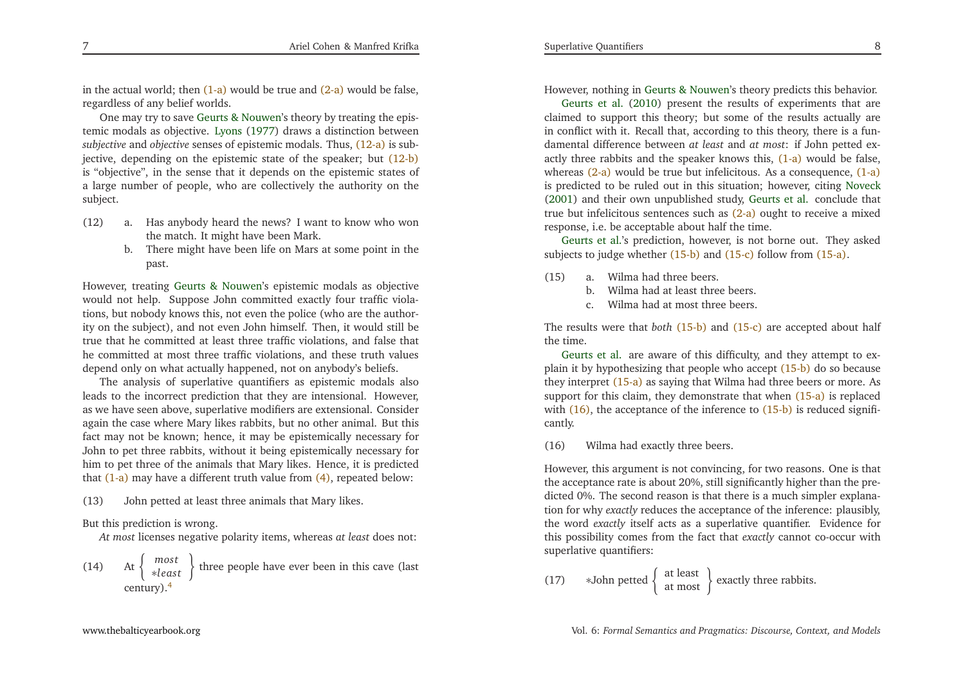<span id="page-4-5"></span>in the actual world; then  $(1-a)$  would be true and  $(2-a)$  would be false, regardless of any belief worlds.

One may try to save Geurts & [Nouwen'](#page-28-1)s theory by treating the epistemic modals as objective. [Lyons](#page-28-4) [\(1977\)](#page-28-4) draws <sup>a</sup> distinction between *subjective* and *objective* senses of epistemic modals. Thus, [\(12-a\)](#page-4-0) is subjective, depending on the epistemic state of the speaker; but [\(12-b\)](#page-4-1) is "objective", in the sense that it depends on the epistemic states of <sup>a</sup> large number of people, who are collectively the authority on the subject.

- <span id="page-4-7"></span>(12) a. Has anybody heard the news? <sup>I</sup> want to know who wonthe match. It might have been Mark.
	- b. There might have been life on Mars at some point in thepast.

However, treating Geurts & [Nouwen](#page-28-1)'s epistemic modals as objective would not help. Suppose John committed exactly four traffic violations, but nobody knows this, not even the police (who are the authority on the subject), and not even John himself. Then, it would still be true that he committed at least three traffic violations, and false that he committed at most three traffic violations, and these truth valuesdepend only on what actually happened, not on anybody's beliefs.

<span id="page-4-6"></span>The analysis of superlative quantifiers as epistemic modals also leads to the incorrect prediction that they are intensional. However, as we have seen above, superlative modifiers are extensional. Consider again the case where Mary likes rabbits, but no other animal. But this fact may not be known; hence, it may be epistemically necessary for John to pe<sup>t</sup> three rabbits, without it being epistemically necessary for him to pe<sup>t</sup> three of the animals that Mary likes. Hence, it is predictedthat [\(1-a\)](#page-1-0) may have a different truth value from [\(4\),](#page-2-4) repeated below:

(13) John petted at least three animals that Mary likes.

But this prediction is wrong.

*At most* licenses negative polarity items, whereas *at least* does not:

(14) At 
$$
\begin{Bmatrix} most \kappa}{\kappa} \end{Bmatrix}
$$
 three people have ever been in this cave (last century).<sup>4</sup>

<span id="page-4-4"></span><span id="page-4-3"></span><span id="page-4-2"></span><span id="page-4-1"></span><span id="page-4-0"></span>However,nothing in Geurts & [Nouwen'](#page-28-1)s theory predicts this behavior.

Geurts et al. [\(2010](#page-28-5)) presen<sup>t</sup> the results of experiments that are claimed to suppor<sup>t</sup> this theory; but some of the results actually are in conflict with it. Recall that, according to this theory, there is <sup>a</sup> fundamental difference between *at least* and *at most*: if John petted ex-actly three rabbits and the speaker knows this, <mark>[\(1-a\)](#page-1-0)</mark> would be false, whereas [\(2-a\)](#page-2-0) would be true but infelicitous. As a consequence, [\(1-a\)](#page-1-0) is predicted to be ruled out in this situation; however, citing [Noveck](#page-28-6) [\(2001](#page-28-6)) and their own unpublished study, [Geurts](#page-28-5) et al. conclude that true but infelicitous sentences such as [\(2-a\)](#page-2-0) ought to receive <sup>a</sup> mixedres[p](#page-28-5)onse, i.e. be acceptable about half the time.

Geurts et al.'s prediction, however, is not borne out. They askedsubjects to judge whether [\(15-b\)](#page-4-2) and [\(15-c\)](#page-4-3) follow from [\(15-a\).](#page-4-4)

- (15) a. Wilma had three beers.
	- b. Wilma had at least three beers.
	- c. Wilma had at most three beers.

The results were that *both* [\(15-b\)](#page-4-2) and [\(15-c\)](#page-4-3) are accepted about half thetime.

Geurts et al. are aware of this difficulty, and they attempt to explain it by hypothesizing that people who accept (<mark>15-b)</mark> do so because they interpret [\(15-a\)](#page-4-4) as saying that Wilma had three beers or more. As support for this claim, they demonstrate that when [\(15-a\)](#page-4-4) is replaced with [\(16\),](#page-4-5) the acceptance of the inference to [\(15-b\)](#page-4-2) is reduced significantly.

(16) Wilma had exactly three beers.

However, this argumen<sup>t</sup> is not convincing, for two reasons. One is that the acceptance rate is about 20%, still significantly higher than the predicted 0%. The second reason is that there is <sup>a</sup> much simpler explanation for why *exactly* reduces the acceptance of the inference: <sup>p</sup>lausibly, the word *exactly* itself acts as <sup>a</sup> superlative quantifier. Evidence for this possibility comes from the fact that *exactly* cannot co-occur withsuperlative quantifiers:

(17) $\ast$ John petted  $\begin{cases} \n \text{at least} \\ \n \text{at most} \n \end{cases}$  exactly three rabbits.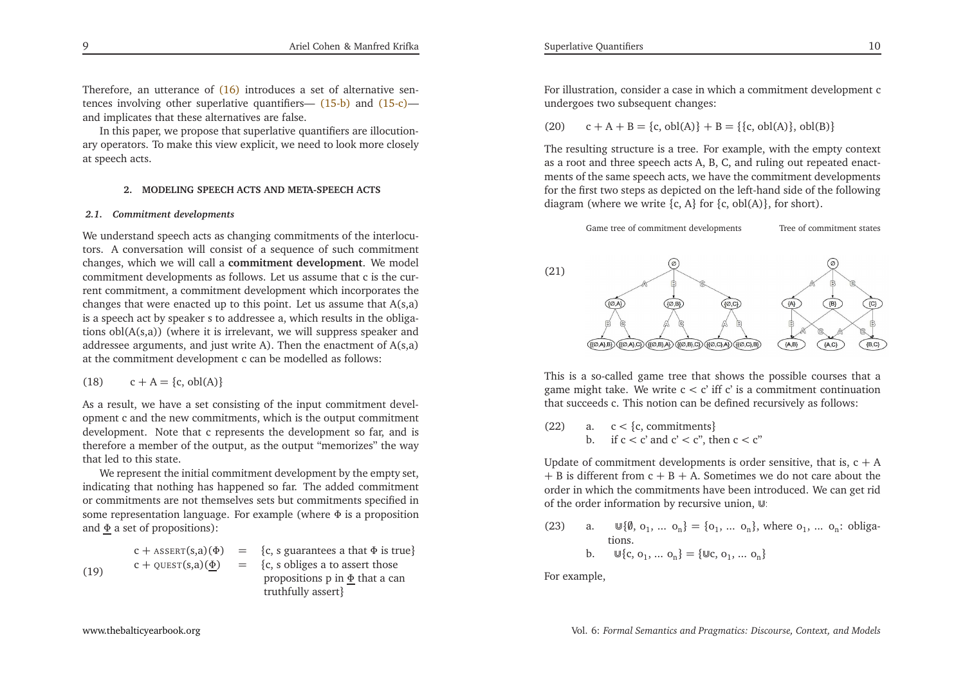Therefore, an utterance of [\(16\)](#page-4-5) introduces a set of alternative sen-tences involving other superlative quantifiers— [\(15-b\)](#page-4-2) and [\(15-c\)—](#page-4-3) and implicates that these alternatives are false.

In this paper, we propose that superlative quantifiers are illocutionary operators. To make this view explicit, we need to look more closelyat speech acts.

### **2. MODELING SPEECH ACTS AND META-SPEECH ACTS**

# *2.1. Commitment developments*

We understand speech acts as changing commitments of the interlocutors. <sup>A</sup> conversation will consist of <sup>a</sup> sequence of such commitment changes, which we will call <sup>a</sup> **commitment development**. We model commitment developments as follows. Let us assume that <sup>c</sup> is the current commitment, <sup>a</sup> commitment development which incorporates the changes that were enacted up to this point. Let us assume that A(s,a) is <sup>a</sup> speech act by speaker <sup>s</sup> to addressee a, which results in the obligations obl(A(s,a)) (where it is irrelevant, we will suppress speaker and addressee arguments, and just write A). Then the enactment of A(s,a)at the commitment development <sup>c</sup> can be modelled as follows:

$$
(18) \qquad c + A = \{c, \text{obl}(A)\}\
$$

As <sup>a</sup> result, we have <sup>a</sup> set consisting of the input commitment developmen<sup>t</sup> <sup>c</sup> and the new commitments, which is the output commitment development. Note that <sup>c</sup> represents the development so far, and is therefore <sup>a</sup> member of the output, as the output "memorizes" the waythat led to this state.

We represen<sup>t</sup> the initial commitment development by the empty set, indicating that nothing has happened so far. The added commitment or commitments are not themselves sets but commitments specified in some representation language. For example (where <sup>Φ</sup> is <sup>a</sup> proposition and <u>Φ</u> a set of propositions):

$$
c + \text{ASERT}(s, a) \quad (\Phi) = \{c, s \text{ guarantees a that } \Phi \text{ is true} \}
$$
\n
$$
c + \text{QUESTION}(s, a) \quad (\Phi) = \{c, s \text{ obliges a to assert those\npropositions p in } \Phi \text{ that a can\ntruthfully assert} \}
$$

<span id="page-5-1"></span><span id="page-5-0"></span>For illustration, consider <sup>a</sup> case in which <sup>a</sup> commitment development <sup>c</sup>undergoes two subsequent changes:

 $(20)$  $c + A + B = \{c, obl(A)\} + B = \{\{c, obl(A)\}, obl(B)\}$ 

The resulting structure is <sup>a</sup> tree. For example, with the empty context as <sup>a</sup> root and three speech acts A, B, C, and ruling out repeated enactments of the same speech acts, we have the commitment developments for the first two steps as depicted on the left-hand side of the followingdiagram (where we write  $\{c, A\}$  for  $\{c, \text{obl}(A)\}$ , for short).



This is <sup>a</sup> so-called game tree that shows the possible courses that <sup>a</sup>game might take. We write  $c < c'$  iff  $c'$  is a commitment continuation that concern  $c$ that succeeds c. This notion can be defined recursively as follows:

(22) a.  $c < \{c,$  commitments $\}$ a.  $c < {c$ , commitments}<br>
b. if  $c < c'$  and  $c' < c''$ , then  $c < c''$ 

Update of commitment developments is order sensitive, that is,  $c + A$  $+ B$  is different from  $c + B + A$ . Sometimes we do not care about the order in which the commitments have been introduced. We can ge<sup>t</sup> ridof the order information by recursive union,  $\mathbb{U}$ :

(23) a.  $\mathbb{U}\{\emptyset, o_1, \dots, o_n\} = \{o_1, \dots, o_n\}$ , where  $o_1, \dots, o_n$ : obligations.b.  $\mathbb{U}\{\mathbf{c}, \mathbf{o}_1, \dots \mathbf{o}_n\} = {\mathbb{U}\mathbf{c}, \mathbf{o}_1, \dots \mathbf{o}_n}$ 

$$
P_{1} \cup P_{2} \cup P_{3} \cup P_{1} \cup P_{2}
$$

For example,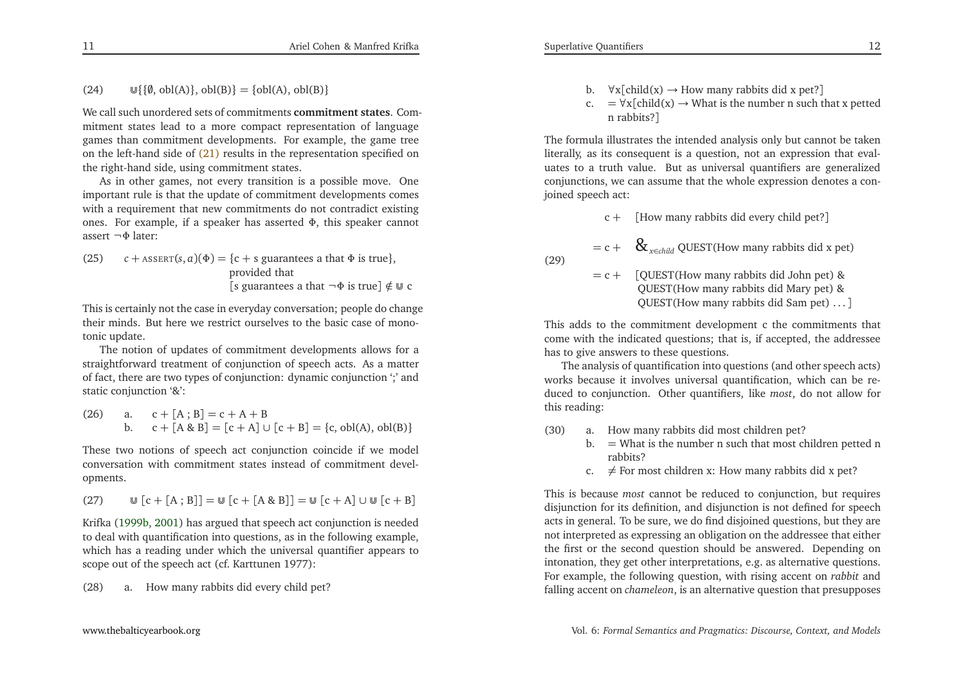We call such unordered sets of commitments **commitment states**. Commitment states lead to <sup>a</sup> more compac<sup>t</sup> representation of language games than commitment developments. For example, the game tree on the left-hand side of [\(21\)](#page-5-0) results in the representation specified onthe right-hand side, using commitment states.

As in other games, not every transition is <sup>a</sup> possible move. One important rule is that the update of commitment developments comes with <sup>a</sup> requirement that new commitments do not contradict existing ones. For example, if <sup>a</sup> speaker has asserted <sup>Φ</sup>, this speaker cannot assert <sup>¬</sup>Φ later:

(25) 
$$
c + \text{ASBERT}(s, a)(\Phi) = \{c + s \text{ guarantees a that } \Phi \text{ is true}\},
$$
  
provided that  
[s guarantees a that  $\neg \Phi \text{ is true}] \notin \mathbb{U} c$ 

This is certainly not the case in everyday conversation; people do change their minds. But here we restrict ourselves to the basic case of monotonic update.

The notion of updates of commitment developments allows for <sup>a</sup> straightforward treatment of conjunction of speech acts. As <sup>a</sup> matter of fact, there are two types of conjunction: dynamic conjunction ';' andstatic conjunction '&':

(26) a. 
$$
c + [A; B] = c + A + B
$$
  
b.  $c + [A & B] = [c + A] \cup [c + B] = \{c, obl(A), obl(B)\}$ 

These two notions of speech act conjunction coincide if we model conversation with commitment states instead of commitment developments.

(27) 
$$
\qquad \qquad \mathbb{U}[c + [A; B]] = \mathbb{U}[c + [A \& B]] = \mathbb{U}[c + A] \cup \mathbb{U}[c + B]
$$

Krifka [\(1999b](#page-28-7), [2001](#page-28-8)) has argued that speech act conjunction is needed to deal with quantification into questions, as in the following example, which has <sup>a</sup> reading under which the universal quantifier appears toscope out of the speech act (cf. Karttunen 1977):

(28) a. How many rabbits did every child pet?

- b.  $\forall x[\text{child}(x) \rightarrow \text{How many rabbits did x pet?}]$ <br>c =  $\forall x[\text{child}(x) \rightarrow \text{What is the number n such t}$
- c. =  $\forall x$ [child(x)  $\rightarrow$  What is the number n such that x petted<br>n rabbits<sup>2]</sup> <sup>n</sup> rabbits?]

The formula illustrates the intended analysis only but cannot be taken literally, as its consequen<sup>t</sup> is <sup>a</sup> question, not an expression that evaluates to <sup>a</sup> truth value. But as universal quantifiers are generalized conjunctions, we can assume that the whole expression denotes <sup>a</sup> conjoined speech act:

c <sup>+</sup> [How many rabbits did every child pet?]

 $\&$ <sub>*x∈child*</sub> QUEST(How many rabbits did x pet)

$$
= c + (29)
$$

$$
= c + [QUEST(How many rabbits did John pet) & QUEST(How many rabbits did Mary pet) & QUEST(How many rabbits did Sam pet) ...]
$$

This adds to the commitment development <sup>c</sup> the commitments that come with the indicated questions; that is, if accepted, the addressee has to <sup>g</sup>ive answers to these questions.

The analysis of quantification into questions (and other speech acts) works because it involves universal quantification, which can be reduced to conjunction. Other quantifiers, like *most*, do not allow for this reading:

- (30) a. How many rabbits did most children pet?
	- b.  $=$  What is the number n such that most children petted n rabbits?
		- c.  $\neq$  For most children x: How many rabbits did x pet?

This is because *most* cannot be reduced to conjunction, but requires disjunction for its definition, and disjunction is not defined for speech acts in general. To be sure, we do find disjoined questions, but they are not interpreted as expressing an obligation on the addressee that either the first or the second question should be answered. Depending on intonation, they ge<sup>t</sup> other interpretations, e.g. as alternative questions. For example, the following question, with rising accent on *rabbit* and falling accent on *chameleon*, is an alternative question that presupposes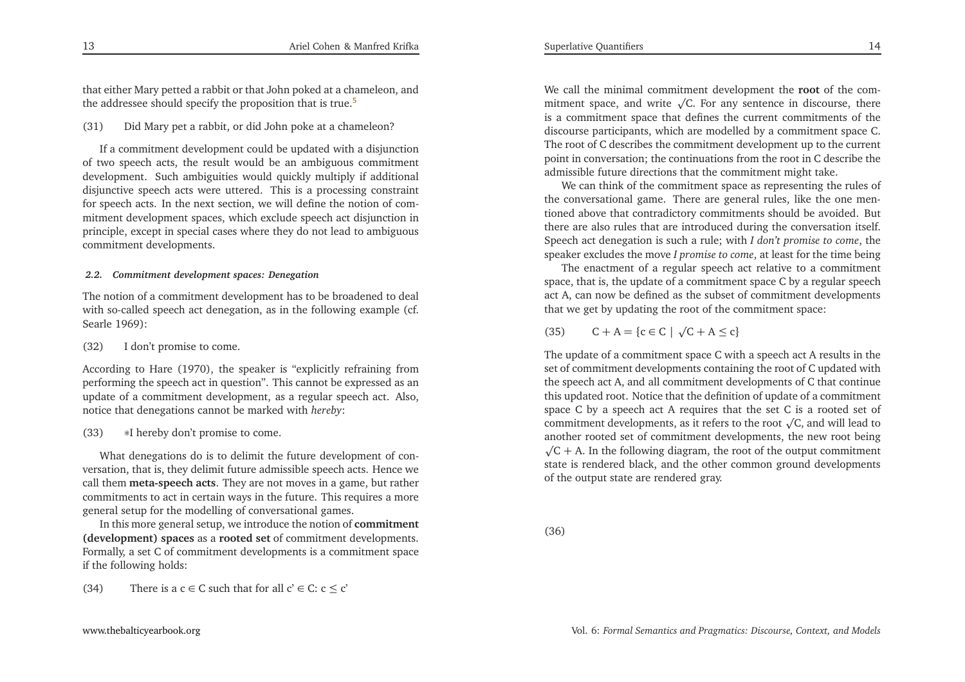that either Mary petted <sup>a</sup> rabbit or that John poked at <sup>a</sup> chameleon, andthe addressee should specify the proposition that is true.<sup>[5](#page-27-4)</sup>

(31) Did Mary pe<sup>t</sup> <sup>a</sup> rabbit, or did John poke at <sup>a</sup> chameleon?

If <sup>a</sup> commitment development could be updated with <sup>a</sup> disjunction of two speech acts, the result would be an ambiguous commitment development. Such ambiguities would quickly multiply if additional disjunctive speech acts were uttered. This is <sup>a</sup> processing constraint for speech acts. In the next section, we will define the notion of commitment development spaces, which exclude speech act disjunction in principle, excep<sup>t</sup> in special cases where they do not lead to ambiguouscommitment developments.

# *2.2. Commitment development spaces: Denegation*

The notion of <sup>a</sup> commitment development has to be broadened to deal with so-called speech act denegation, as in the following example (cf. Searle 1969):

# (32) <sup>I</sup> don't promise to come.

According to Hare (1970), the speaker is "explicitly refraining from performing the speech act in question". This cannot be expressed as an update of <sup>a</sup> commitment development, as <sup>a</sup> regular speech act. Also, notice that denegations cannot be marked with *hereby*:

#### (33)<sup>∗</sup><sup>I</sup> hereby don't promise to come.

What denegations do is to delimit the future development of conversation, that is, they delimit future admissible speech acts. Hence we call them **meta-speech acts**. They are not moves in <sup>a</sup> game, but rather commitments to act in certain ways in the future. This requires <sup>a</sup> moregeneral setup for the modelling of conversational games.

In this more general setup, we introduce the notion of **commitment (development) spaces** as <sup>a</sup> **rooted set** of commitment developments. Formally, <sup>a</sup> set <sup>C</sup> of commitment developments is <sup>a</sup> commitment spaceif the following holds:

(34) There is a  $c \in C$  such that for all  $c' \in C$ :  $c \le c'$ 

We call the minimal commitment development the **root** of the commitment space, and write  $\sqrt{C}$ . For any sentence in discourse, there is <sup>a</sup> commitment space that defines the current commitments of the discourse participants, which are modelled by <sup>a</sup> commitment space C. The root of <sup>C</sup> describes the commitment development up to the current point in conversation; the continuations from the root in <sup>C</sup> describe theadmissible future directions that the commitment might take.

We can think of the commitment space as representing the rules of the conversational game. There are general rules, like the one mentioned above that contradictory commitments should be avoided. But there are also rules that are introduced during the conversation itself. Speech act denegation is such <sup>a</sup> rule; with *<sup>I</sup> don't promise to come*, the speaker excludes the move *<sup>I</sup> promise to come*, at least for the time being

 The enactment of <sup>a</sup> regular speech act relative to <sup>a</sup> commitment space, that is, the update of <sup>a</sup> commitment space <sup>C</sup> by <sup>a</sup> regular speec<sup>h</sup> act A, can now be defined as the subset of commitment developmentsthat we ge<sup>t</sup> by updating the root of the commitment space:

 $(35)$  $C + A = \{c \in C \mid \sqrt{C} + A \leq c\}$ 

<span id="page-7-0"></span>The update of <sup>a</sup> commitment space <sup>C</sup> with <sup>a</sup> speech act <sup>A</sup> results in the set of commitment developments containing the root of <sup>C</sup> updated with the speech act A, and all commitment developments of <sup>C</sup> that continue this updated root. Notice that the definition of update of <sup>a</sup> commitment space <sup>C</sup> by <sup>a</sup> speech act <sup>A</sup> requires that the set <sup>C</sup> is <sup>a</sup> rooted set ofcommitment developments, as it refers to the root  $\sqrt{C}$ , and will lead to another rooted set of commitment developments, the new root being $\sqrt{C + A}$ . In the following diagram, the root of the output commitment state is rendered black, and the other common ground developmentsof the output state are rendered gray.

(36)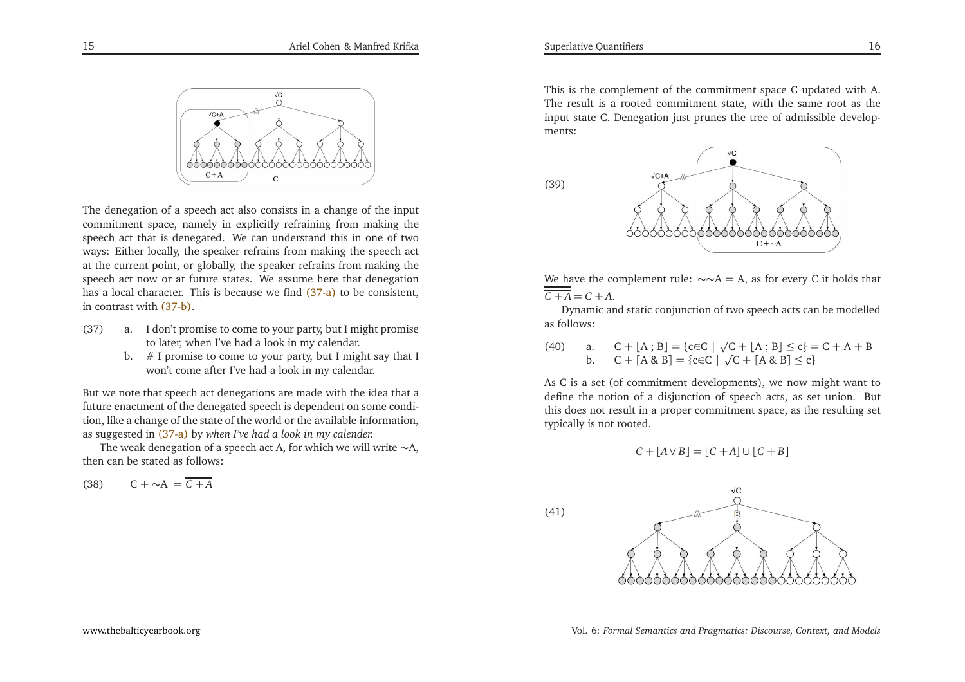<span id="page-8-1"></span>

The denegation of <sup>a</sup> speech act also consists in <sup>a</sup> change of the input commitment space, namely in explicitly refraining from making the speech act that is denegated. We can understand this in one of two ways: Either locally, the speaker refrains from making the speech actat the current point, or globally, the speaker refrains from making the speech act now or at future states. We assume here that denegationhas a local character. This is because we find [\(37-a\)](#page-8-0) to be consistent, in contrast with [\(37-b\).](#page-8-1)

- (37) a. <sup>I</sup> don't promise to come to your party, but <sup>I</sup> might promiseto later, when I've had <sup>a</sup> look in my calendar.
	- b.  $#$  I promise to come to your party, but I might say that I won't come after I've had <sup>a</sup> look in my calendar.

But we note that speech act denegations are made with the idea that <sup>a</sup> future enactment of the denegated speech is dependent on some condition, like <sup>a</sup> change of the state of the world or the available information, as suggested in [\(37-a\)](#page-8-0) by *when I've had <sup>a</sup> look in my calender.*

The weak denegation of a speech act A, for which we will write  $\sim$ A, then can be stated as follows:

$$
(38) \qquad C + \sim A = \overline{C + A}
$$

<span id="page-8-0"></span>This is the complement of the commitment space <sup>C</sup> updated with A. The result is <sup>a</sup> rooted commitment state, with the same root as the input state C. Denegation just prunes the tree of admissible developments:





We have the complement rule: ∼∼A = A, as for every C it holds that ——  $C + A = C + A$ .

Dynamic and static conjunction of two speech acts can be modelledas follows:

(40) a.  $C + [A; B] = \{ c \in C \mid \sqrt{C} + [A; B] \le c \} = C + A + B$ b.  $C + [A \& B] = \{c \in C \mid \sqrt{C} + [A \& B] \le c\}$ 

As <sup>C</sup> is <sup>a</sup> set (of commitment developments), we now might want to define the notion of <sup>a</sup> disjunction of speech acts, as set union. But this does not result in <sup>a</sup> proper commitment space, as the resulting settypically is not rooted.

$$
C + [A \vee B] = [C + A] \cup [C + B]
$$

(41)

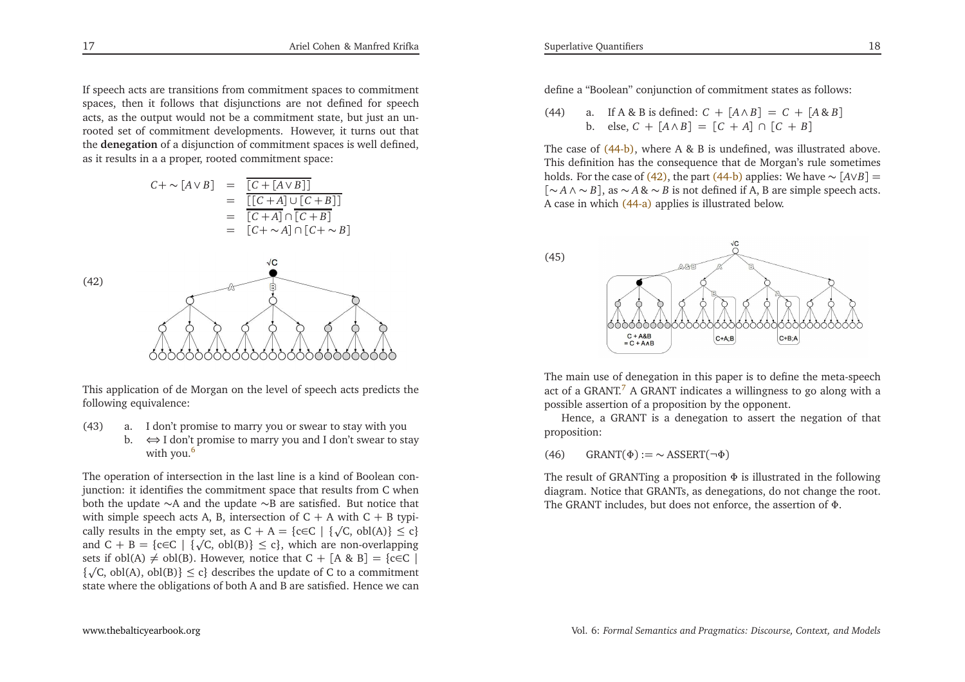If speech acts are transitions from commitment spaces to commitment spaces, then it follows that disjunctions are not defined for speec<sup>h</sup> acts, as the output would not be <sup>a</sup> commitment state, but just an unrooted set of commitment developments. However, it turns out that the **denegation** of <sup>a</sup> disjunction of commitment spaces is well defined, as it results in <sup>a</sup> <sup>a</sup> proper, rooted commitment space:

<span id="page-9-5"></span><span id="page-9-4"></span>
$$
C + \sim [A \lor B] = \frac{\boxed{C + [A \lor B]}}{}{}_{=}\n= \frac{\boxed{C + [A \lor B]}}{}_{=}\n= \frac{\boxed{C + A} \cup [C + B]}{}_{=}\n= \boxed{C + \sim A} \cap [C + \sim B]
$$



This application of de Morgan on the level of speech acts predicts thefollowing equivalence:

- (43) a. <sup>I</sup> don't promise to marry you or swear to stay with you
	- b.  $\iff$  I don't promise to marry you and I don't swear to stay with you.<sup>6</sup> with you.<sup>[6](#page-27-5)</sup>

The operation of intersection in the last line is <sup>a</sup> kind of Boolean conjunction: it identifies the commitment space that results from <sup>C</sup> when both the update <sup>∼</sup><sup>A</sup> and the update <sup>∼</sup><sup>B</sup> are satisfied. But notice that with simple speech acts A, B, intersection of C + A with C + B typi-<br> $\frac{1}{2}$ cally results in the empty set, as  $C + A = \{c \in C \mid \{\sqrt{C}, \text{obl}(A)\} \le c\}$ and  $C + B = \{c \in C \mid \{\sqrt{C}, \text{obl}(B)\} \le c\}$ , which are non-overlapping<br>sots if  $\text{obl}(\Delta) \ne \text{obl}(B)$ . However, potice that  $C + [A \otimes B] = \{c \in C\}$ . sets if obl(A)  $\neq$  obl(B). However, notice that C + [A & B] = {c∈C |  $\frac{1}{2}$  (C obl(A) obl(B)}  $\leq$  c) doscribes the undate of C to a commitment  $\{\sqrt{C}$ , obl(A), obl(B)}  $\leq c\}$  describes the update of C to a commitment state where the obligations of both <sup>A</sup> and <sup>B</sup> are satisfied. Hence we can

<span id="page-9-2"></span><span id="page-9-1"></span><span id="page-9-0"></span>define <sup>a</sup> "Boolean" conjunction of commitment states as follows:

(44) a. If  $A \& B$  is defined:  $C + [A \land B] = C + [A \& B]$ <br>b.  $\text{else } C + [A \land B] = [C + A] \cup [C + B]$ b. else,  $C + [A \land B] = [C + A] ∩ [C + B]$ 

The case of [\(44-b\),](#page-9-0) where A & B is undefined, was illustrated above. This definition has the consequence that de Morgan's rule sometimesholds. For the case of [\(42\),](#page-9-1) the part [\(44-b\)](#page-9-0) applies: We have ∼  $[A \vee B] =$ [∼ *<sup>A</sup>* <sup>∧</sup> <sup>∼</sup> *<sup>B</sup>*], as <sup>∼</sup> *<sup>A</sup>* & <sup>∼</sup> *<sup>B</sup>* is not defined if A, <sup>B</sup> are simple speec<sup>h</sup> acts. <sup>A</sup> case in which [\(44-a\)](#page-9-2) applies is illustrated below.



<span id="page-9-3"></span>The main use of denegation in this paper is to define the meta-speechact of a GRANT.<sup>[7](#page-27-6)</sup> A GRANT indicates a willingness to go along with a possible assertion of <sup>a</sup> proposition by the opponent.

Hence, <sup>a</sup> GRANT is <sup>a</sup> denegation to assert the negation of thatproposition:

(46) GRANT( $\Phi$ ) := ~ ASSERT(¬ $\Phi$ )

The result of GRANTing <sup>a</sup> proposition <sup>Φ</sup> is illustrated in the following diagram. Notice that GRANTs, as denegations, do not change the root. The GRANT includes, but does not enforce, the assertion of <sup>Φ</sup>.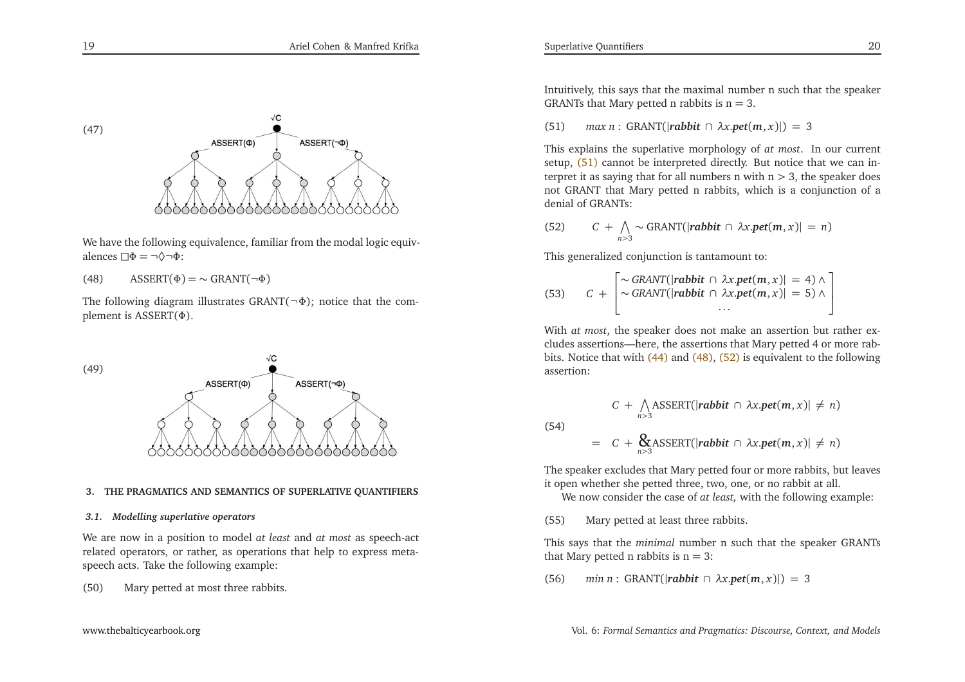

We have the following equivalence, familiar from the modal logic equivalences  $\Box \Phi = \neg \Diamond \neg \Phi$ :

(48) ASSERT $(\Phi) = \sim \text{GRANT}(\neg \Phi)$ 

The following diagram illustrates GRANT( $\neg$  $\Phi$ ); notice that the com<sup>p</sup>lement is ASSERT(Φ).



#### **3. THE PRAGMATICS AND SEMANTICS OF SUPERLATIVE QUANTIFIERS**

## *3.1. Modelling superlative operators*

We are now in <sup>a</sup> position to model *at least* and *at most* as speech-act related operators, or rather, as operations that help to express metaspeech acts. Take the following example:

(50) Mary petted at most three rabbits.

Intuitively, this says that the maximal number <sup>n</sup> such that the speakerGRANTs that Mary petted n rabbits is  $n = 3$ .

(51)*max <sup>n</sup>* : GRANT(|*rabbit* <sup>∩</sup> *<sup>λ</sup><sup>x</sup>*.*pet*(*<sup>m</sup>*, *<sup>x</sup>*)|) <sup>=</sup> <sup>3</sup>

<span id="page-10-2"></span>This explains the superlative morphology of *at most*. In our currentsetup, [\(51\)](#page-10-0) cannot be interpreted directly. But notice that we can interpret it as saying that for all numbers n with  $n > 3$ , the speaker does not GRANT that Mary petted <sup>n</sup> rabbits, which is <sup>a</sup> conjunction of <sup>a</sup>denial of GRANTs:

<span id="page-10-1"></span>(52) 
$$
C + \bigwedge_{n>3} \sim \text{GRANT}(|\text{rabbit} \cap \lambda x.\text{pet}(m, x)| = n)
$$

This generalized conjunction is tantamount to:

Superlative Quantifiers

<span id="page-10-0"></span>(53) 
$$
C + \begin{bmatrix} \sim \text{GRANT}(|\text{rabbit} \cap \lambda x.\text{pet}(m, x)| = 4) \land \\ \sim \text{GRANT}(|\text{rabbit} \cap \lambda x.\text{pet}(m, x)| = 5) \land \\ \cdots \end{bmatrix}
$$

With *at most*, the speaker does not make an assertion but rather excludes assertions—here, the assertions that Mary petted 4 or more rabbits. Notice that with [\(44\)](#page-9-3) and [\(48\),](#page-10-1) [\(52\)](#page-10-2) is equivalent to the following assertion:

$$
C + \bigwedge_{n>3} \text{ASSENT}(|\text{rabbit} \cap \lambda x.\text{pet}(m, x)| \neq n)
$$

$$
= C + \bigotimes_{n>3} \text{ASSENT}(|\text{rabbit} \cap \lambda x.\text{pet}(m, x)| \neq n)
$$

The speaker excludes that Mary petted four or more rabbits, but leavesit open whether she petted three, two, one, or no rabbit at all.

We now consider the case of *at least,* with the following example:

(55) Mary petted at least three rabbits.

(54)

This says that the *minimal* number <sup>n</sup> such that the speaker GRANTs that Mary petted n rabbits is  $n = 3$ :

(56)*min <sup>n</sup>* : GRANT(|*rabbit* <sup>∩</sup> *<sup>λ</sup><sup>x</sup>*.*pet*(*<sup>m</sup>*, *<sup>x</sup>*)|) <sup>=</sup> <sup>3</sup>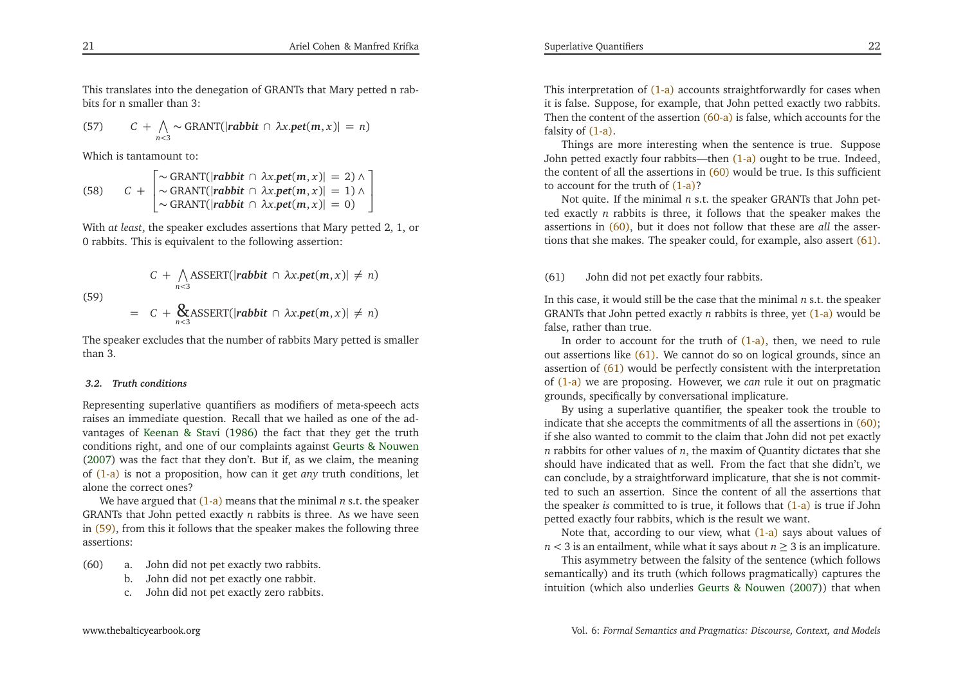<span id="page-11-1"></span>This translates into the denegation of GRANTs that Mary petted <sup>n</sup> rabbits for <sup>n</sup> smaller than 3:

<span id="page-11-2"></span>(57) 
$$
C + \bigwedge_{n < 3} \sim \text{GRANT}(|\textit{rabbit} \cap \lambda x.\textit{pet}(m, x)| = n)
$$

Which is tantamount to:

(58) 
$$
C + \begin{bmatrix} \sim \text{GRANT}(|\text{rabbit} \cap \lambda x.\text{pet}(m, x)| = 2) \land \\ \sim \text{GRANT}(|\text{rabbit} \cap \lambda x.\text{pet}(m, x)| = 1) \land \\ \sim \text{GRANT}(|\text{rabbit} \cap \lambda x.\text{pet}(m, x)| = 0) \end{bmatrix}
$$

With *at least*, the speaker excludes assertions that Mary petted 2, 1, or <sup>0</sup> rabbits. This is equivalent to the following assertion:

(59)  
\n
$$
C + \bigwedge_{n<3} \text{ASSENT}(|\text{rabbit} \cap \lambda x.\text{pet}(m, x)| \neq n)
$$
\n
$$
= C + \bigotimes_{n<3} \text{ASSENT}(|\text{rabbit} \cap \lambda x.\text{pet}(m, x)| \neq n)
$$

The speaker excludes that the number of rabbits Mary petted is smallerthan 3.

# *3.2. Truth conditions*

Representing superlative quantifiers as modifiers of meta-speech acts raises an immediate question. Recall that we hailed as one of the advantages of [Keenan](#page-28-2) & Stavi [\(1986](#page-28-2)) the fact that they ge<sup>t</sup> the truth conditions right, and one of our complaints against Geurts & [Nouwen](#page-28-1) [\(2007](#page-28-1)) was the fact that they don't. But if, as we claim, the meaning of [\(1-a\)](#page-1-0) is not <sup>a</sup> proposition, how can it ge<sup>t</sup> *any* truth conditions, let alone the correct ones?

 We have argued that [\(1-a\)](#page-1-0) means that the minimal *n* s.t. the speaker GRANTs that John petted exactly*n* rabbits is three. As we have seen in [\(59\),](#page-11-0) from this it follows that the speaker makes the following three assertions:

- (60) a. John did not pe<sup>t</sup> exactly two rabbits.
	- b. John did not pe<sup>t</sup> exactly one rabbit.
	- c. John did not pe<sup>t</sup> exactly zero rabbits.

<span id="page-11-3"></span><span id="page-11-0"></span>This interpretation of [\(1-a\)](#page-1-0) accounts straightforwardly for cases when it is false. Suppose, for example, that John petted exactly two rabbits. Then the content of the assertion [\(60-a\)](#page-11-1) is false, which accounts for the falsity of [\(1-a\).](#page-1-0)

Things are more interesting when the sentence is true. Suppose John petted exactly four rabbits—then [\(1-a\)](#page-1-0) ought to be true. Indeed, the content of all the assertions in [\(60\)](#page-11-2) would be true. Is this sufficient to account for the truth of [\(1-a\)?](#page-1-0)

 Not quite. If the minimal*n* s.t. the speaker GRANTs that John pet ted exactly*n* rabbits is three, it follows that the speaker makes the assertions in [\(60\),](#page-11-2) but it does not follow that these are *all* the assertions that she makes. The speaker could, for example, also assert [\(61\).](#page-11-3)

(61) John did not pe<sup>t</sup> exactly four rabbits.

In this case, it would still be the case that the minimal*n* s.t. the speaker GRANTs that John petted exactly*n* rabbits is three, ye<sup>t</sup> [\(1-a\)](#page-1-0) would be false, rather than true.

In order to account for the truth of [\(1-a\),](#page-1-0) then, we need to ruleout assertions like [\(61\).](#page-11-3) We cannot do so on logical grounds, since an assertion of [\(61\)](#page-11-3) would be perfectly consistent with the interpretation of [\(1-a\)](#page-1-0) we are proposing. However, we *can* rule it out on pragmatic grounds, specifically by conversational implicature.

By using <sup>a</sup> superlative quantifier, the speaker took the trouble to indicate that she accepts the commitments of all the assertions in [\(60\);](#page-11-2) if she also wanted to commit to the claim that John did not pe<sup>t</sup> exactly *n* rabbits for other values of *<sup>n</sup>*, the maxim of Quantity dictates that she should have indicated that as well. From the fact that she didn't, we can conclude, by <sup>a</sup> straightforward implicature, that she is not committed to such an assertion. Since the content of all the assertions that the speaker *is* committed to is true, it follows that [\(1-a\)](#page-1-0) is true if Johnpetted exactly four rabbits, which is the result we want.

Note that, according to our view, what <mark>[\(1-a\)](#page-1-0)</mark> says about values of *n* < 3 is an entailment, while what it says about  $n \ge 3$  is an implicature.

 This asymmetry between the falsity of the sentence (which follows semantically) and its truth (which follows pragmatically) captures theintuition (which also underlies Geurts & [Nouwen](#page-28-1) [\(2007](#page-28-1))) that when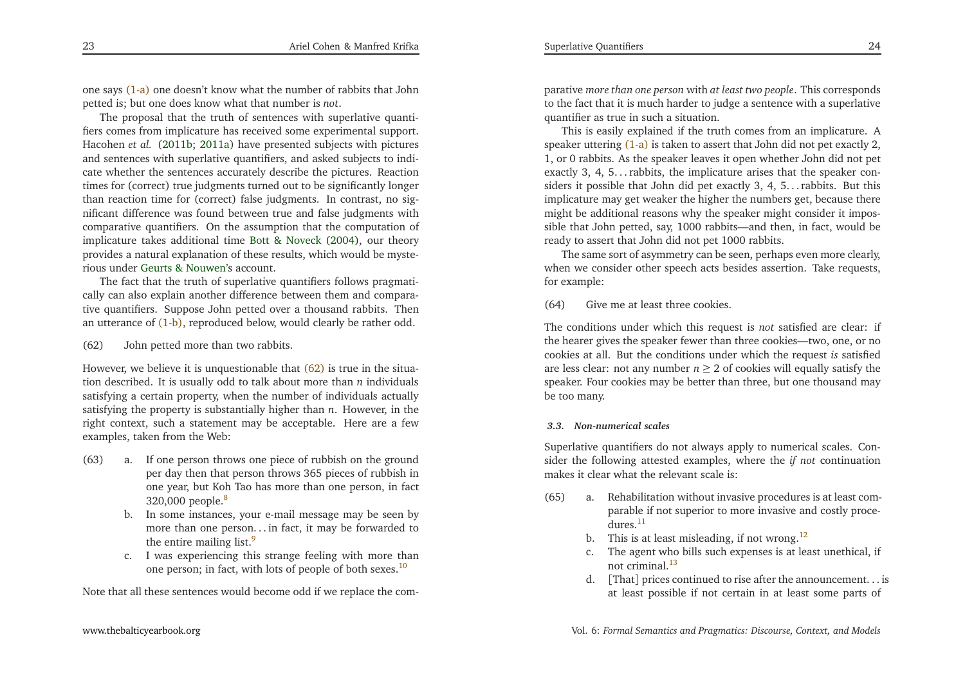<span id="page-12-1"></span>one says [\(1-a\)](#page-1-0) one doesn't know what the number of rabbits that Johnpetted is; but one does know what that number is *not*.

<span id="page-12-7"></span><span id="page-12-5"></span>The proposal that the truth of sentences with superlative quantifiers comes from implicature has received some experimental support. Hacohen *et al.* [\(2011b](#page-28-9); [2011a](#page-28-10)) have presented subjects with <sup>p</sup>ictures and sentences with superlative quantifiers, and asked subjects to indicate whether the sentences accurately describe the <sup>p</sup>ictures. Reaction times for (correct) true judgments turned out to be significantly longer than reaction time for (correct) false judgments. In contrast, no significant difference was found between true and false judgments with comparative quantifiers. On the assumption that the computation of implicature takes additional time Bott & [Noveck](#page-27-7) [\(2004](#page-27-7)), our theory provides <sup>a</sup> natural explanation of these results, which would be mysterious under Geurts & [Nouwen](#page-28-1)'s account.

<span id="page-12-3"></span><span id="page-12-2"></span>The fact that the truth of superlative quantifiers follows pragmatically can also explain another difference between them and comparative quantifiers. Suppose John petted over <sup>a</sup> thousand rabbits. Thenan utterance of [\(1-b\),](#page-1-1) reproduced below, would clearly be rather odd.

# <span id="page-12-6"></span>(62) John petted more than two rabbits.

<span id="page-12-4"></span>However, we believe it is unquestionable that <mark>[\(62\)](#page-12-0)</mark> is true in the situation described. It is usually odd to talk about more than *<sup>n</sup>* individuals satisfying <sup>a</sup> certain property, when the number of individuals actually satisfying the property is substantially higher than *<sup>n</sup>*. However, in the right context, such <sup>a</sup> statement may be acceptable. Here are <sup>a</sup> fewexamples, taken from the Web:

- (63) a. If one person throws one <sup>p</sup>iece of rubbish on the ground per day then that person throws 365 <sup>p</sup>ieces of rubbish in one year, but Koh Tao has more than one person, in fact320,000 people.[8](#page-27-8)
	- b. In some instances, your e-mail message may be seen by more than one person. . . in fact, it may be forwarded tothe entire mailing list.<sup>[9](#page-27-9)</sup>
	- c. <sup>I</sup> was experiencing this strange feeling with more thanone person; in fact, with lots of people of both sexes.[10](#page-27-10)

Note that all these sentences would become odd if we replace the com-

parative *more than one person* with *at least two people*. This corresponds to the fact that it is much harder to judge <sup>a</sup> sentence with <sup>a</sup> superlativequantifier as true in such <sup>a</sup> situation.

This is easily explained if the truth comes from an implicature. <sup>A</sup>speaker uttering [\(1-a\)](#page-1-0) is taken to assert that John did not pet exactly 2, 1, or <sup>0</sup> rabbits. As the speaker leaves it open whether John did not pe<sup>t</sup> exactly 3, 4, 5... rabbits, the implicature arises that the speaker considers it possible that John did pet exactly 3, 4, 5... rabbits. But this implicature may ge<sup>t</sup> weaker the higher the numbers get, because there might be additional reasons why the speaker might consider it impossible that John petted, say, <sup>1000</sup> rabbits—and then, in fact, would beready to assert that John did not pe<sup>t</sup> <sup>1000</sup> rabbits.

The same sort of asymmetry can be seen, perhaps even more clearly, when we consider other speech acts besides assertion. Take requests, for example:

(64) Give me at least three cookies.

The conditions under which this reques<sup>t</sup> is *not* satisfied are clear: if the hearer <sup>g</sup>ives the speaker fewer than three cookies—two, one, or no cookies at all. But the conditions under which the reques<sup>t</sup> *is* satisfiedare less clear: not any number  $n \geq 2$  of cookies will equally satisfy the speaker. Four cookies may be better than three, but one thousand maybe too many.

# *3.3. Non-numerical scales*

<span id="page-12-0"></span>Superlative quantifiers do not always apply to numerical scales. Consider the following attested examples, where the *if not* continuationmakes it clear what the relevant scale is:

- (65) a. Rehabilitation without invasive procedures is at least comparable if not superior to more invasive and costly proce $d$ ures<sup>[11](#page-27-11)</sup>
	- b. This is at least misleading, if not wrong.<sup>[12](#page-27-12)</sup>
	- c. The agen<sup>t</sup> who bills such expenses is at least unethical, ifnot criminal.[13](#page-27-13)
	- d. [That] prices continued to rise after the announcement. . . is at least possible if not certain in at least some parts of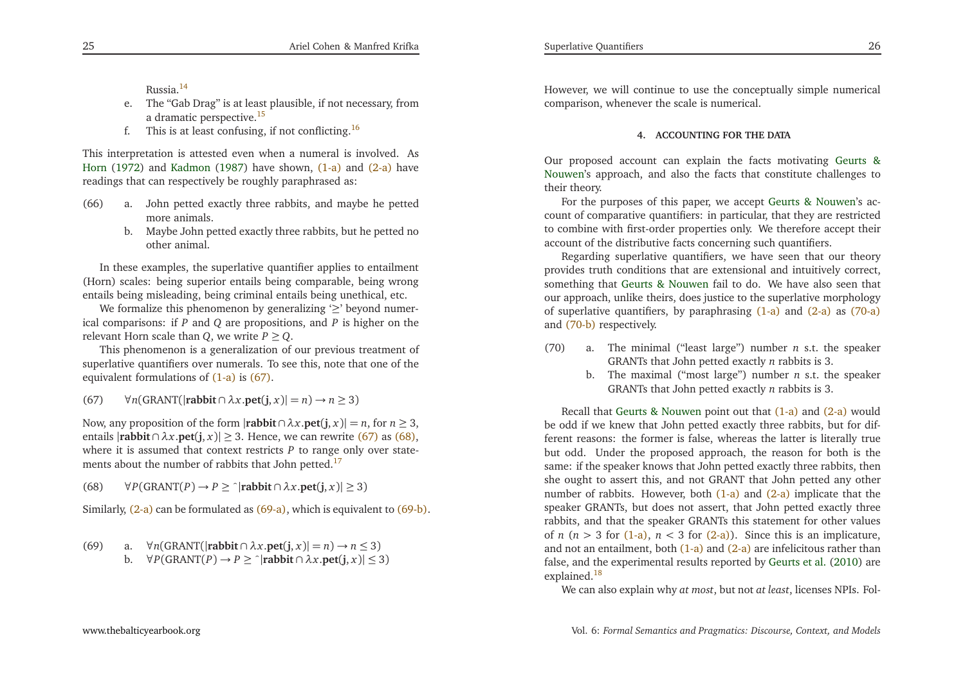<span id="page-13-5"></span><span id="page-13-3"></span><span id="page-13-2"></span>Russia.[14](#page-27-14)

- e. The "Gab Drag" is at least <sup>p</sup>lausible, if not necessary, froma dramatic perspective.<sup>[15](#page-27-15)</sup>
- <span id="page-13-10"></span>f. This is at least confusing, if not conflicting.<sup>[16](#page-27-16)</sup>

This interpretation is attested even when <sup>a</sup> numeral is involved. As [Horn](#page-28-11) [\(1972](#page-28-11)) and [Kadmon](#page-28-12) [\(1987\)](#page-28-12) have shown, [\(1-a\)](#page-1-0) and [\(2-a\)](#page-2-0) have readings that can respectively be roughly paraphrased as:

- (66) a. John petted exactly three rabbits, and maybe he pettedmore animals.
	- b. Maybe John petted exactly three rabbits, but he petted noother animal.

In these examples, the superlative quantifier applies to entailment (Horn) scales: being superior entails being comparable, being wrongentails being misleading, being criminal entails being unethical, etc.

<span id="page-13-0"></span>We formalize this phenomenon by generalizing  $\geq$  beyond numerical comparisons: if *<sup>P</sup>* and *<sup>Q</sup>* are propositions, and *<sup>P</sup>* is higher on the relevant Horn scale than *<sup>Q</sup>*, we write *<sup>P</sup>* <sup>≥</sup> *<sup>Q</sup>*.

<span id="page-13-9"></span><span id="page-13-1"></span>This <sup>p</sup>henomenon is <sup>a</sup> generalization of our previous treatment of superlative quantifiers over numerals. To see this, note that one of theequivalent formulations of [\(1-a\)](#page-1-0) is [\(67\)](#page-13-0).

(67)<sup>∀</sup>*n*(GRANT(|**rabbit** <sup>∩</sup> *<sup>λ</sup><sup>x</sup>*.**pet**(**j**, *<sup>x</sup>*)<sup>|</sup> <sup>=</sup> *<sup>n</sup>*) <sup>→</sup> *<sup>n</sup>* <sup>≥</sup> <sup>3</sup>)

Now, any proposition of the form  $|\textbf{r}|\textbf{ab}\textbf{b}\textbf{t}\cap \lambda x.\textbf{pct}(\textbf{j}, x)| = n$ , for  $n \geq 3$ ,  $n \geq 1$ ,  $n \geq 2$ , Hence,  $n \geq 2$ ,  $n \geq 2$ ,  $(n \geq 2)$ ,  $(n \geq 2)$ entails  $|\text{rability} \cap \lambda x.\text{pet}(j, x)| \geq 3$ . Hence, we can rewrite [\(67\)](#page-13-0) as [\(68\),](#page-13-1) where it is assumed that context restricts *P* to range only over state-ments about the number of rabbits that John petted.<sup>[17](#page-27-17)</sup>

(68)<sup>∀</sup>*P*(GRANT(*P*) <sup>→</sup> *<sup>P</sup>* <sup>≥</sup> <sup>ˆ</sup>|**rabbit** <sup>∩</sup> *<sup>λ</sup><sup>x</sup>*.**pet**(**j**, *<sup>x</sup>*)<sup>|</sup> <sup>≥</sup> <sup>3</sup>)

Similarly, [\(2-a\)](#page-2-0) can be formulated as [\(69-a\),](#page-13-2) which is equivalent to [\(69-b\).](#page-13-3)

(69) a. 
$$
\forall n
$$
(GRAPH( $|rabbit \cap \lambda x.pet(j, x)| = n) \rightarrow n \le 3$ )  
b.  $\forall P$ (GRAPH( $P$ )  $\rightarrow P \ge \neg$ |**rabbit**  $\cap \lambda x.pet(j, x)| \le 3$ )

[www.thebalticyearbook.org](http://www.thebalticyearbook.org/)

<span id="page-13-4"></span>However, we will continue to use the conceptually simple numericalcomparison, whenever the scale is numerical.

#### **4. ACCOUNTING FOR THE DATA**

Our proposed account can explain the facts motivatin[g](#page-28-1) Geurts & Nouwen's approach, and also the facts that constitute challenges totheir theory.

<span id="page-13-6"></span>For the purposes of this paper, we accep<sup>t</sup> Geurts & [Nouwen](#page-28-1)'s account of comparative quantifiers: in particular, that they are restricted to combine with first-order properties only. We therefore accep<sup>t</sup> theiraccount of the distributive facts concerning such quantifiers.

<span id="page-13-7"></span>Regarding superlative quantifiers, we have seen that our theory provides truth conditions that are extensional and intuitively correct, something that Geurts & [Nouwen](#page-28-1) fail to do. We have also seen that our approach, unlike theirs, does justice to the superlative morphology of superlative quantifiers, by paraphrasing [\(1-a\)](#page-1-0) and [\(2-a\)](#page-2-0) as [\(70-a\)](#page-13-4) and [\(70-b\)](#page-13-5) respectively.

- <span id="page-13-8"></span>(70) a. The minimal ("least large") number *<sup>n</sup>* s.t. the speaker GRANTs that John petted exactly *<sup>n</sup>* rabbits is 3.
	- b. The maximal ("most large") number *<sup>n</sup>* s.t. the speaker GRANTs that John petted exactly *<sup>n</sup>* rabbits is 3.

Recall that Geurts & [Nouwen](#page-28-1) point out that [\(1-a\)](#page-1-0) and [\(2-a\)](#page-2-0) would be odd if we knew that John petted exactly three rabbits, but for different reasons: the former is false, whereas the latter is literally true but odd. Under the proposed approach, the reason for both is the same: if the speaker knows that John petted exactly three rabbits, then she ought to assert this, and not GRANT that John petted any othernumber of rabbits. However, both [\(1-a\)](#page-1-0) and [\(2-a\)](#page-2-0) implicate that the speaker GRANTs, but does not assert, that John petted exactly three rabbits, and that the speaker GRANTs this statement for other valuesof  $n$  ( $n > 3$  for [\(1-a\),](#page-1-0)  $n < 3$  for [\(2-a\)\)](#page-2-0). Since this is an implicature, and not an entailment, both [\(1-a\)](#page-1-0) and [\(2-a\)](#page-2-0) are infelicitous rather than false, and the experimental results reported by [Geurts](#page-28-5) et al. [\(2010\)](#page-28-5) are explained.<sup>[18](#page-27-18)</sup>

We can also explain why *at most*, but not *at least*, licenses NPIs. Fol-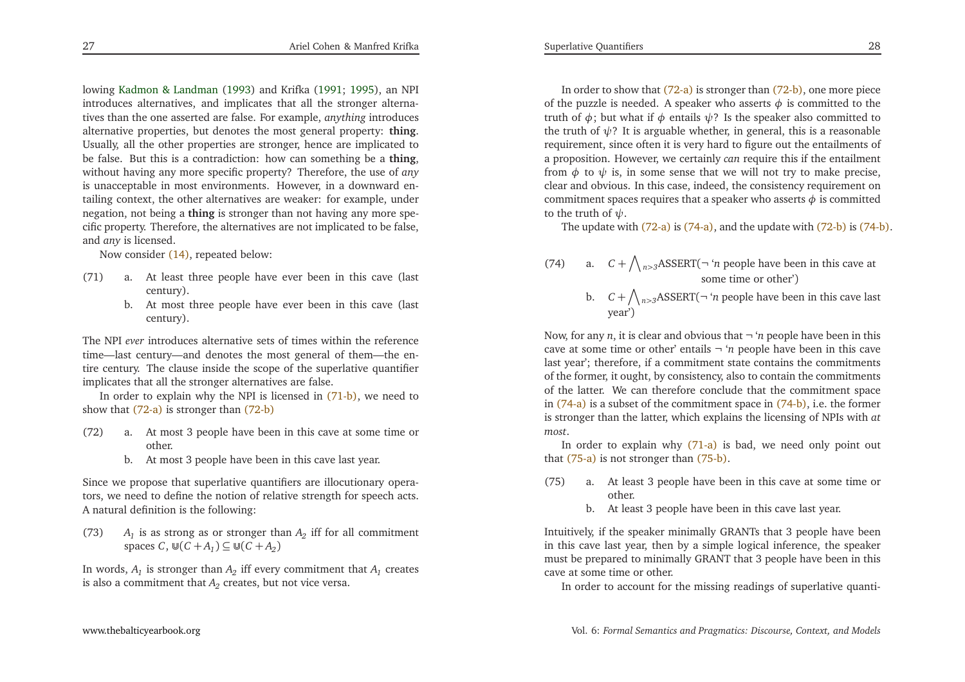<span id="page-14-7"></span><span id="page-14-6"></span><span id="page-14-2"></span><span id="page-14-1"></span>lowing Kadmon & [Landman](#page-28-13) [\(1993](#page-28-13)) and Krifka [\(1991](#page-28-14); [1995\)](#page-28-15), an NPI introduces alternatives, and implicates that all the stronger alternatives than the one asserted are false. For example, *anything* introduces alternative properties, but denotes the most general property: **thing**. Usually, all the other properties are stronger, hence are implicated to be false. But this is <sup>a</sup> contradiction: how can something be <sup>a</sup> **thing**, without having any more specific property? Therefore, the use of *any* is unacceptable in most environments. However, in <sup>a</sup> downward entailing context, the other alternatives are weaker: for example, under negation, not being <sup>a</sup> **thing** is stronger than not having any more specific property. Therefore, the alternatives are not implicated to be false, and *any* is licensed.

Now consider [\(14\),](#page-4-6) repeated below:

- (71) a. At least three people have ever been in this cave (lastcentury).
	- b. At most three people have ever been in this cave (lastcentury).

The NPI *ever* introduces alternative sets of times within the reference time—last century—and denotes the most general of them—the entire century. The clause inside the scope of the superlative quantifier implicates that all the stronger alternatives are false.

In order to explain why the NPI is licensed in [\(71-b\),](#page-14-0) we need to show that [\(72-a\)](#page-14-1) is stronger than [\(72-b\)](#page-14-2)

- (72) a. At most <sup>3</sup> people have been in this cave at some time orother.
	- b. At most <sup>3</sup> people have been in this cave last year.

Since we propose that superlative quantifiers are illocutionary operators, we need to define the notion of relative strength for speech acts. <sup>A</sup> natural definition is the following:

(73)*A*<sub>1</sub> is as strong as or stronger than  $A_2$  iff for all commitment spaces  $C$ ,  $\mathbb{U}(C + A_1) \subseteq \mathbb{U}(C + A_2)$ 

In words,  $A_1$  is stronger than  $A_2$  iff every commitment that  $A_1$  creates is also a commitment that  $A_2$  creates, but not vice versa.

<span id="page-14-5"></span><span id="page-14-4"></span><span id="page-14-3"></span><span id="page-14-0"></span>In order to show that [\(72-a\)](#page-14-1) is stronger than [\(72-b\),](#page-14-2) one more <sup>p</sup>iece of the puzzle is needed. A speaker who asserts  $\phi$  is committed to the truth of  $\phi$ ; but what if  $\phi$  entails  $\psi$ ? Is the speaker also committed to the truth of *ψ*? It is arguable whether, in general, this is <sup>a</sup> reasonable requirement, since often it is very hard to figure out the entailments of <sup>a</sup> proposition. However, we certainly *can* require this if the entailment from  $\phi$  to  $\psi$  is, in some sense that we will not try to make precise, clear and obvious. In this case, indeed, the consistency requirement on $\epsilon$  commitment spaces requires that a speaker who asserts  $\phi$  is committed to the truth of *ψ*.

The update with [\(72-a\)](#page-14-1) is [\(74-a\),](#page-14-3) and the update with [\(72-b\)](#page-14-2) is [\(74-b\)](#page-14-4).

- (74) a.  $C + \bigwedge_{n>3} \text{ASSENT}(\neg \text{ '}n \text{ people have been in this cave at } \neg \text{ '}n \text{ )}$ some time or other')
	- b.  $C + \bigwedge_{n>3} \text{ASSENT}(\neg \text{ '}n \text{ people have been in this cave last})$ year')

Now, for any *<sup>n</sup>*, it is clear and obvious that <sup>¬</sup> '*<sup>n</sup>* people have been in this cave at some time or other' entails <sup>¬</sup> '*<sup>n</sup>* people have been in this cave last year'; therefore, if <sup>a</sup> commitment state contains the commitments of the former, it ought, by consistency, also to contain the commitments of the latter. We can therefore conclude that the commitment space in [\(74-a\)](#page-14-3) is <sup>a</sup> subset of the commitment space in [\(74-b\),](#page-14-4) i.e. the former is stronger than the latter, which explains the licensing of NPIs with *at most*.

In order to explain why [\(71-a\)](#page-14-5) is bad, we need only point out that [\(75-a\)](#page-14-6) is not stronger than [\(75-b\).](#page-14-7)

- (75) a. At least <sup>3</sup> people have been in this cave at some time orother.
	- b. At least <sup>3</sup> people have been in this cave last year.

Intuitively, if the speaker minimally GRANTs that <sup>3</sup> people have been in this cave last year, then by <sup>a</sup> simple logical inference, the speaker must be prepared to minimally GRANT that <sup>3</sup> people have been in this cave at some time or other.

In order to account for the missing readings of superlative quanti-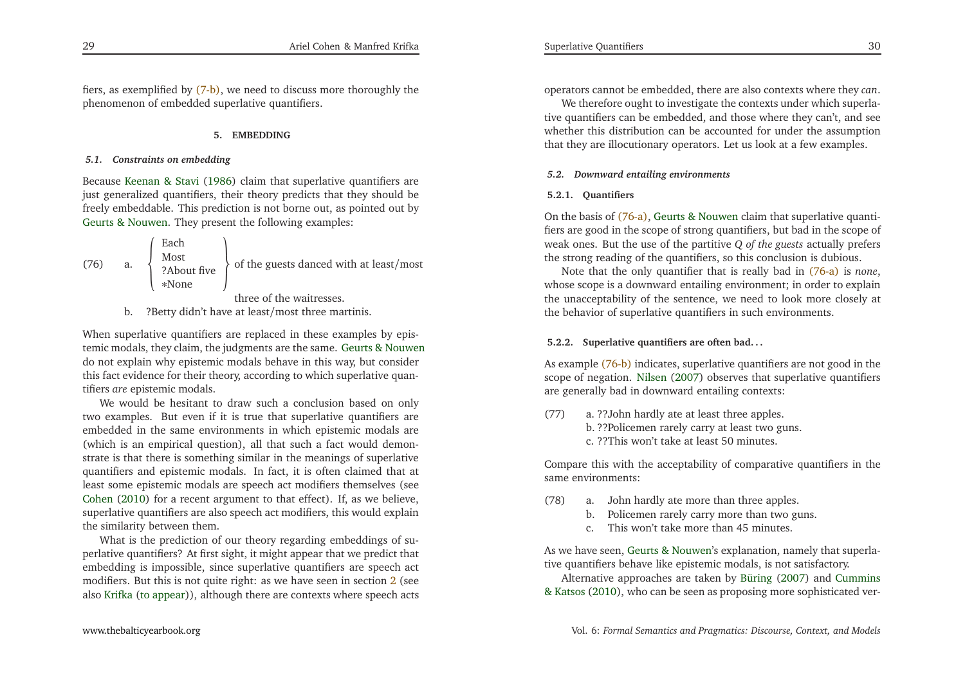fiers, as exemplified by [\(7-b\),](#page-2-6) we need to discuss more thoroughly the <sup>p</sup>henomenon of embedded superlative quantifiers.

### **5. EMBEDDING**

# *5.1. Constraints on embedding*

Because [Keenan](#page-28-2) & Stavi [\(1986](#page-28-2)) claim that superlative quantifiers are just generalized quantifiers, their theory predicts that they should be freely embeddable. This prediction is not borne out, as pointed out byGeurts & [Nouwen](#page-28-1). They presen<sup>t</sup> the following examples:

(76) a. 
$$
\left\{\n \begin{array}{c}\n \text{Each} \\
 \text{Most} \\
 \text{?About five} \\
 * \text{None}\n \end{array}\n\right\}
$$
 of the guests danced with at least/most

three of the waitresses.

b. ?Betty didn't have at least/most three martinis.

When superlative quantifiers are replaced in these examples by epistemic modals, they claim, the judgments are the same. Geurts & [Nouwen](#page-28-1) do not explain why epistemic modals behave in this way, but consider this fact evidence for their theory, according to which superlative quantifiers *are* epistemic modals.

We would be hesitant to draw such <sup>a</sup> conclusion based on only two examples. But even if it is true that superlative quantifiers are embedded in the same environments in which epistemic modals are (which is an empirical question), all that such <sup>a</sup> fact would demonstrate is that there is something similar in the meanings of superlative quantifiers and epistemic modals. In fact, it is often claimed that at least some epistemic modals are speech act modifiers themselves (see [Cohen](#page-27-19) [\(2010](#page-27-19)) for <sup>a</sup> recent argumen<sup>t</sup> to that effect). If, as we believe, superlative quantifiers are also speech act modifiers, this would explainthe similarity between them.

What is the prediction of our theory regarding embeddings of superlative quantifiers? At first sight, it might appear that we predict that embedding is impossible, since superlative quantifiers are speec<sup>h</sup> act modifiers. But this is not quite right: as we have seen in section [2](#page-5-1) (see also [Krifka](#page-28-16) (to [appear](#page-28-16))), although there are contexts where speec<sup>h</sup> acts <span id="page-15-3"></span><span id="page-15-2"></span><span id="page-15-1"></span><span id="page-15-0"></span>operators cannot be embedded, there are also contexts where they *can*.

We therefore ought to investigate the contexts under which superlative quantifiers can be embedded, and those where they can't, and see whether this distribution can be accounted for under the assumptionthat they are illocutionary operators. Let us look at <sup>a</sup> few examples.

### *5.2. Downward entailing environments*

### **5.2.1. Quantifiers**

On the basis of [\(76-a\),](#page-15-0) Geurts & [Nouwen](#page-28-1) claim that superlative quantifiers are good in the scope of strong quantifiers, but bad in the scope of weak ones. But the use of the partitive *<sup>Q</sup> of the guests* actually prefers the strong reading of the quantifiers, so this conclusion is dubious.

Note that the only quantifier that is really bad in [\(76-a\)](#page-15-0) is *none*, whose scope is <sup>a</sup> downward entailing environment; in order to explain the unacceptability of the sentence, we need to look more closely atthe behavior of superlative quantifiers in such environments.

# **5.2.2. Superlative quantifiers are often bad. . .**

As example [\(76-b\)](#page-15-1) indicates, superlative quantifiers are not good in the scope of negation. [Nilsen](#page-28-17) [\(2007](#page-28-17)) observes that superlative quantifiers are generally bad in downward entailing contexts:

(77) a. ??John hardly ate at least three apples. b. ??Policemen rarely carry at least two guns. c. ??This won't take at least <sup>50</sup> minutes.

Compare this with the acceptability of comparative quantifiers in thesame environments:

- (78) a. John hardly ate more than three apples.
	- b. Policemen rarely carry more than two guns.
	- c. This won't take more than 45 minutes.

As we have seen, Geurts & [Nouwen](#page-28-1)'s explanation, namely that superlative quantifiers behave like epistemic modals, is not satisfactory.

Alternative a[pp](#page-28-18)roaches are taken by [Büring](#page-27-20) [\(2007](#page-27-20)) and Cummins & Katsos [\(2010](#page-28-18)), who can be seen as proposing more sophisticated ver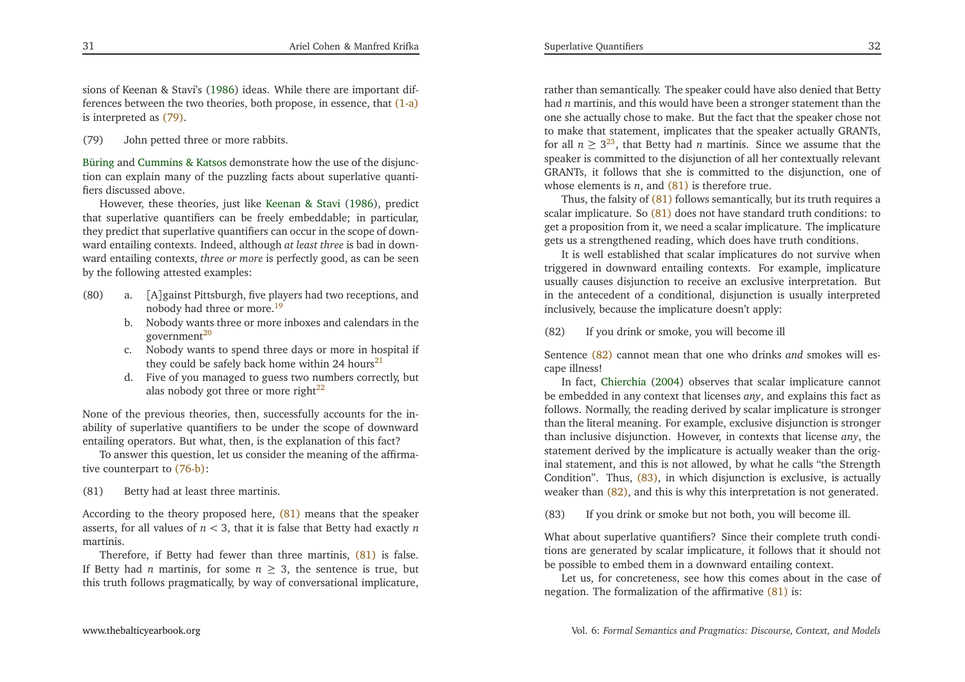sions of Keenan & Stavi's [\(1986](#page-28-2)) ideas. While there are important differences between the two theories, both propose, in essence, that (<mark>1-a</mark>) is interpreted as [\(79\).](#page-16-0)

# (79) John petted three or more rabbits.

Büring and [Cummins](#page-28-18) & Katsos demonstrate how the use of the disjunction can explain many of the puzzling facts about superlative quantifiers discussed above.

<span id="page-16-1"></span>However, these theories, just like [Keenan](#page-28-2) & Stavi [\(1986](#page-28-2)), predict that superlative quantifiers can be freely embeddable; in particular, they predict that superlative quantifiers can occur in the scope of downward entailing contexts. Indeed, although *at least three* is bad in downward entailing contexts, *three or more* is perfectly good, as can be seenby the following attested examples:

- <span id="page-16-7"></span>(80) a. [A]gainst Pittsburgh, five <sup>p</sup>layers had two receptions, andnobody had three or more.[19](#page-27-21)
	- b. Nobody wants three or more inboxes and calendars in thegovernment<sup>[20](#page-27-22)</sup>
	- c. Nobody wants to spend three days or more in hospital ifthey could be safely back home within 24 hours<sup>[21](#page-27-23)</sup>
	- d. Five of you managed to guess two numbers correctly, butalas nobody got three or more right $^{22}$  $^{22}$  $^{22}$

<span id="page-16-3"></span>None of the previous theories, then, successfully accounts for the inability of superlative quantifiers to be under the scope of downwardentailing operators. But what, then, is the explanation of this fact?

 To answer this question, let us consider the meaning of the affirmative counterpart to [\(76-b\)](#page-15-1):

(81) Betty had at least three martinis.

According to the theory proposed here, [\(81\)](#page-16-1) means that the speaker asserts, for all values of*n<* 3, that it is false that Betty had exactly *n*martinis.

Therefore, if Betty had fewer than three martinis, [\(81\)](#page-16-1) is false. If Betty had *n* martinis, for some  $n \geq 3$ , the sentence is true, but this truth follows pragmatically, by way of conversational implicature,

<span id="page-16-8"></span>rather than semantically. The speaker could have also denied that Betty had*n* martinis, and this would have been <sup>a</sup> stronger statement than the one she actually chose to make. But the fact that the speaker chose not to make that statement, implicates that the speaker actually GRANTs, for all  $n \geq 3^{23}$  $n \geq 3^{23}$  $n \geq 3^{23}$ , that Betty had *n* martinis. Since we assume that the speaker is committed to the disjunction of all her contextually relevant GRANTs, it follows that she is committed to the disjunction, one ofwhose elements is*<sup>n</sup>*, and [\(81\)](#page-16-1) is therefore true.

<span id="page-16-5"></span><span id="page-16-0"></span> Thus, the falsity of [\(81\)](#page-16-1) follows semantically, but its truth requires <sup>a</sup>scalar implicature. So [\(81\)](#page-16-1) does not have standard truth conditions: to ge<sup>t</sup> <sup>a</sup> proposition from it, we need <sup>a</sup> scalar implicature. The implicaturegets us <sup>a</sup> strengthened reading, which does have truth conditions.

<span id="page-16-4"></span>It is well established that scalar implicatures do not survive when triggered in downward entailing contexts. For example, implicature usually causes disjunction to receive an exclusive interpretation. But in the antecedent of <sup>a</sup> conditional, disjunction is usually interpretedinclusively, because the implicature doesn't apply:

<span id="page-16-2"></span>(82) If you drink or smoke, you will become ill

Sentence [\(82\)](#page-16-2) cannot mean that one who drinks *and* smokes will escape illness!

<span id="page-16-6"></span> In fact, [Chierchia](#page-27-26) [\(2004](#page-27-26)) observes that scalar implicature cannot be embedded in any context that licenses *any*, and explains this fact as follows. Normally, the reading derived by scalar implicature is stronger than the literal meaning. For example, exclusive disjunction is stronger than inclusive disjunction. However, in contexts that license *any*, the statement derived by the implicature is actually weaker than the original statement, and this is not allowed, by what he calls "the Strength Condition". Thus, [\(83\),](#page-16-3) in which disjunction is exclusive, is actuallyweaker than [\(82\),](#page-16-2) and this is why this interpretation is not generated.

(83) If you drink or smoke but not both, you will become ill.

What about superlative quantifiers? Since their complete truth conditions are generated by scalar implicature, it follows that it should notbe possible to embed them in <sup>a</sup> downward entailing context.

Let us, for concreteness, see how this comes about in the case of negation. The formalization of the affirmative [\(81\)](#page-16-1) is: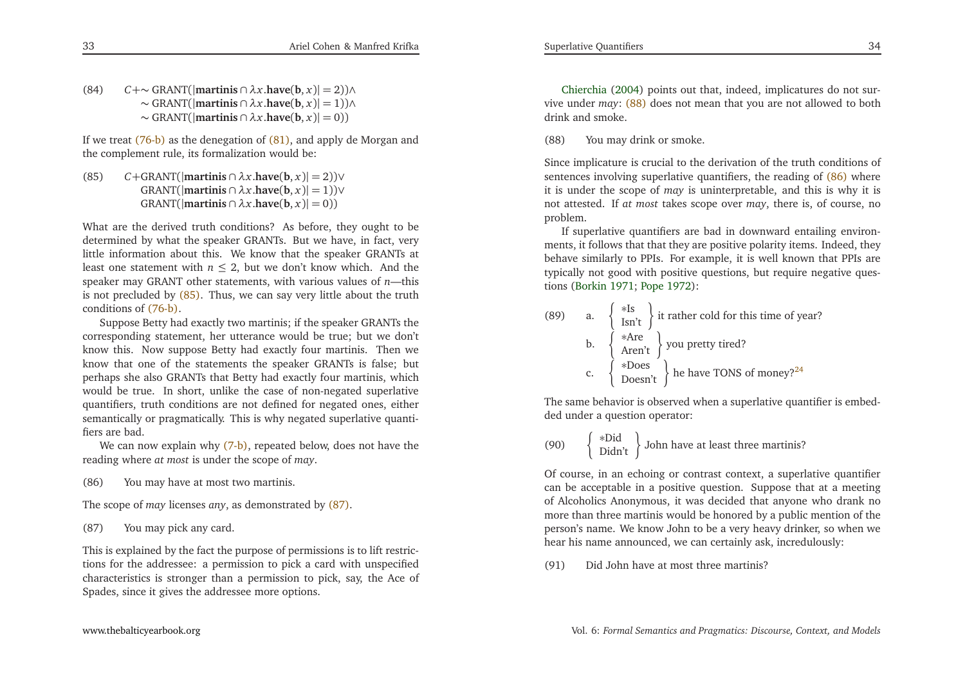If we treat [\(76-b\)](#page-15-1) as the denegation of [\(81\),](#page-16-1) and apply de Morgan and the complement rule, its formalization would be:

(85)*C*+GRANT(|**martinis** ∩  $\lambda x$ .**have**(**b**, *x*)| = 2))∨ GRANT(|**martinis** <sup>∩</sup> *<sup>λ</sup><sup>x</sup>*.**have**(**b**, *<sup>x</sup>*)<sup>|</sup> <sup>=</sup> <sup>1</sup>))<sup>∨</sup>  $GRANT(|**martinis** \cap \lambda x.\bmb{have}(\bmb{b},x)|=0))$ 

What are the derived truth conditions? As before, they ought to be determined by what the speaker GRANTs. But we have, in fact, very little information about this. We know that the speaker GRANTs atleast one statement with  $n \le 2$ , but we don't know which. And the speaker may GRANT other statements, with various values of *<sup>n</sup>*—this is not precluded by [\(85\).](#page-17-0) Thus, we can say very little about the truthconditions of [\(76-b\).](#page-15-1)

<span id="page-17-3"></span><span id="page-17-1"></span>Suppose Betty had exactly two martinis; if the speaker GRANTs the corresponding statement, her utterance would be true; but we don't know this. Now suppose Betty had exactly four martinis. Then we know that one of the statements the speaker GRANTs is false; but perhaps she also GRANTs that Betty had exactly four martinis, which would be true. In short, unlike the case of non-negated superlative quantifiers, truth conditions are not defined for negated ones, either semantically or pragmatically. This is why negated superlative quantifiers are bad.

We can now explain why <mark>(7-b)</mark>, repeated below, does not have the reading where *at most* is under the scope of *may*.

(86) You may have at most two martinis.

The scope of *may* licenses *any*, as demonstrated by [\(87\).](#page-17-1)

(87) You may <sup>p</sup>ick any card.

This is explained by the fact the purpose of permissions is to lift restrictions for the addressee: <sup>a</sup> permission to <sup>p</sup>ick <sup>a</sup> card with unspecified characteristics is stronger than <sup>a</sup> permission to <sup>p</sup>ick, say, the Ace ofSpades, since it <sup>g</sup>ives the addressee more options.

Chierchia [\(2004](#page-27-26)) points out that, indeed, implicatures do not survive under *may*: [\(88\)](#page-17-2) does not mean that you are not allowed to bothdrink and smoke.

(88) You may drink or smoke.

<span id="page-17-2"></span>Since implicature is crucial to the derivation of the truth conditions ofsentences involving superlative quantifiers, the reading of [\(86\)](#page-17-3) where it is under the scope of *may* is uninterpretable, and this is why it is not attested. If *at most* takes scope over *may*, there is, of course, noproblem.

If superlative quantifiers are bad in downward entailing environments, it follows that that they are positive polarity items. Indeed, they behave similarly to PPIs. For example, it is well known that PPIs are typically not good with positive questions, but require negative questions [\(Borkin](#page-27-27) [1971](#page-27-27); [Pope](#page-28-19) [1972](#page-28-19)):

<span id="page-17-4"></span><span id="page-17-0"></span>

| (89) | a. $\begin{cases} *Is \\ Isn't \end{cases}$ it rather cold for this time of year?                                  |
|------|--------------------------------------------------------------------------------------------------------------------|
|      | b. $\left\{\begin{array}{c} *Are \\ Aren't \end{array}\right\}$ you pretty tired?                                  |
|      | c. $\left\{\begin{array}{c} * \text{Does} \\ \text{Does} \end{array}\right\}$ he have TONS of money? <sup>24</sup> |

The same behavior is observed when <sup>a</sup> superlative quantifier is embedded under <sup>a</sup> question operator:

(90) 
$$
\begin{Bmatrix} *Did \\ Didn't \end{Bmatrix}
$$
 John have at least three martinis?

Of course, in an echoing or contrast context, <sup>a</sup> superlative quantifier can be acceptable in <sup>a</sup> positive question. Suppose that at <sup>a</sup> meeting of Alcoholics Anonymous, it was decided that anyone who drank no more than three martinis would be honored by <sup>a</sup> public mention of the person's name. We know John to be <sup>a</sup> very heavy drinker, so when we hear his name announced, we can certainly ask, incredulously:

(91) Did John have at most three martinis?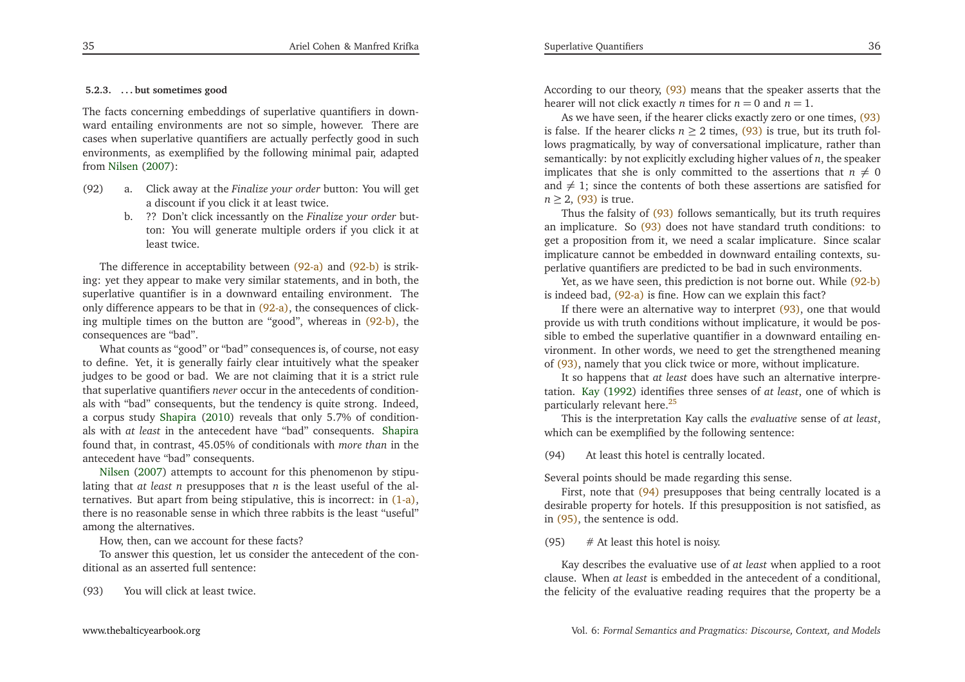# **5.2.3. . . . but sometimes good**

The facts concerning embeddings of superlative quantifiers in downward entailing environments are not so simple, however. There are cases when superlative quantifiers are actually perfectly good in such environments, as exemplified by the following minimal pair, adaptedfrom [Nilsen](#page-28-17) [\(2007\)](#page-28-17):

- <span id="page-18-5"></span><span id="page-18-4"></span>(92) a. Click away at the *Finalize your order* button: You will ge<sup>t</sup> <sup>a</sup> discount if you click it at least twice.
	- b. ?? Don't click incessantly on the *Finalize your order* button: You will generate multiple orders if you click it atleast twice.

<span id="page-18-2"></span>The difference in acceptability between [\(92-a\)](#page-18-0) and [\(92-b\)](#page-18-1) is striking: ye<sup>t</sup> they appear to make very similar statements, and in both, the superlative quantifier is in <sup>a</sup> downward entailing environment. Theonly difference appears to be that in [\(92-a\),](#page-18-0) the consequences of clicking multiple times on the button are "good", whereas in [\(92-b\),](#page-18-1) the consequences are "bad".

<span id="page-18-3"></span>What counts as "good" or "bad" consequences is, of course, not easy to define. Yet, it is generally fairly clear intuitively what the speaker judges to be good or bad. We are not claiming that it is <sup>a</sup> strict rule that superlative quantifiers *never* occur in the antecedents of conditionals with "bad" consequents, but the tendency is quite strong. Indeed, <sup>a</sup> corpus study [Shapira](#page-28-20) [\(2010\)](#page-28-20) reveals that only 5.7% of conditionals with *at least* in the antecedent have "bad" consequents. [Shapira](#page-28-20) found that, in contrast, 45.05% of conditionals with *more than* in the antecedent have "bad" consequents.

Nilsen [\(2007\)](#page-28-17) attempts to account for this <sup>p</sup>henomenon by stipulating that *at least <sup>n</sup>* presupposes that *n* is the least useful of the alternatives. But apar<sup>t</sup> from being stipulative, this is incorrect: in [\(1-a\),](#page-1-0) there is no reasonable sense in which three rabbits is the least "useful"among the alternatives.

How, then, can we account for these facts?

 To answer this question, let us consider the antecedent of the conditional as an asserted full sentence:

(93) You will click at least twice.

<span id="page-18-1"></span><span id="page-18-0"></span>According to our theory, <mark>[\(93\)](#page-18-2)</mark> means that the speaker asserts that the hearer will not click exactly *n* times for  $n = 0$  and  $n = 1$ .

 As we have seen, if the hearer clicks exactly zero or one times, [\(93\)](#page-18-2)is false. If the hearer clicks  $n \ge 2$  times, [\(93\)](#page-18-2) is true, but its truth fol- lows pragmatically, by way of conversational implicature, rather than semantically: by not explicitly excluding higher values of*<sup>n</sup>*, the speakerimplicates that she is only committed to the assertions that  $n \neq 0$ and  $\neq 1$ ; since the contents of both these assertions are satisfied for *n* ≥ 2, [\(93\)](#page-18-2) is true.<br>Thus the falsite

Thus the falsity of [\(93\)](#page-18-2) follows semantically, but its truth requires an implicature. So [\(93\)](#page-18-2) does not have standard truth conditions: to ge<sup>t</sup> <sup>a</sup> proposition from it, we need <sup>a</sup> scalar implicature. Since scalar implicature cannot be embedded in downward entailing contexts, superlative quantifiers are predicted to be bad in such environments.

Yet, as we have seen, this prediction is not borne out. While [\(92-b\)](#page-18-1) is indeed bad, [\(92-a\)](#page-18-0) is fine. How can we explain this fact?

 If there were an alternative way to interpret [\(93\),](#page-18-2) one that would provide us with truth conditions without implicature, it would be possible to embed the superlative quantifier in <sup>a</sup> downward entailing environment. In other words, we need to ge<sup>t</sup> the strengthened meaningof [\(93\),](#page-18-2) namely that you click twice or more, without implicature.

It so happens that *at least* does have such an alternative interpretation. [Kay](#page-28-21) [\(1992\)](#page-28-21) identifies three senses of *at least*, one of which is particularly relevant here.<sup>[25](#page-27-29)</sup>

This is the interpretation Kay calls the *evaluative* sense of *at least*, which can be exemplified by the following sentence:

(94) At least this hotel is centrally located.

Several points should be made regarding this sense.

First, note that [\(94\)](#page-18-3) presupposes that being centrally located is a desirable property for hotels. If this presupposition is not satisfied, asin [\(95\),](#page-18-4) the sentence is odd.

(95)  $#$  At least this hotel is noisy.

Kay describes the evaluative use of *at least* when applied to <sup>a</sup> root clause. When *at least* is embedded in the antecedent of <sup>a</sup> conditional, the felicity of the evaluative reading requires that the property be <sup>a</sup>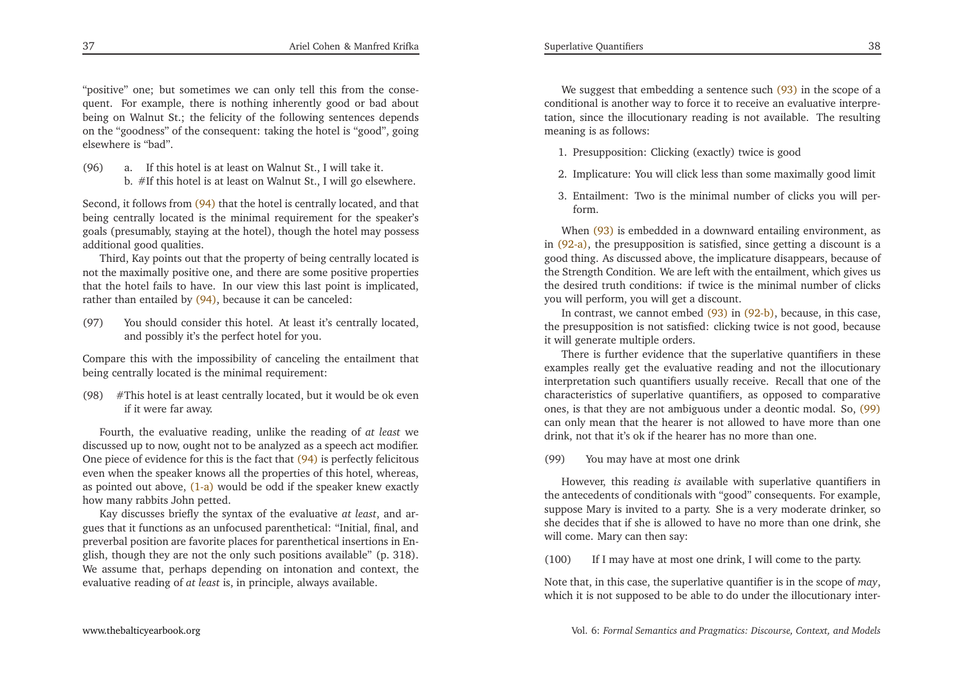"positive" one; but sometimes we can only tell this from the consequent. For example, there is nothing inherently good or bad about being on Walnut St.; the felicity of the following sentences depends on the "goodness" of the consequent: taking the hotel is "good", goingelsewhere is "bad".

(96) a. If this hotel is at least on Walnut St., <sup>I</sup> will take it. b. #If this hotel is at least on Walnut St., <sup>I</sup> will go elsewhere.

Second, it follows from [\(94\)](#page-18-3) that the hotel is centrally located, and that<br>hairs, centrally located is the minimal maximum ant fan the speaker's being centrally located is the minimal requirement for the speaker's goals (presumably, staying at the hotel), though the hotel may possessadditional good qualities.

Third, Kay points out that the property of being centrally located is not the maximally positive one, and there are some positive properties that the hotel fails to have. In our view this last point is implicated, rather than entailed by (<mark>94)</mark>, because it can be canceled:

<span id="page-19-0"></span>(97) You should consider this hotel. At least it's centrally located, and possibly it's the perfect hotel for you.

Compare this with the impossibility of canceling the entailment thatbeing centrally located is the minimal requirement:

(98) #This hotel is at least centrally located, but it would be ok evenif it were far away.

Fourth, the evaluative reading, unlike the reading of *at least* we discussed up to now, ought not to be analyzed as <sup>a</sup> speech act modifier. One <sup>p</sup>iece of evidence for this is the fact that [\(94\)](#page-18-3) is perfectly felicitous even when the speaker knows all the properties of this hotel, whereas, as pointed out above, <mark>[\(1-a\)](#page-1-0)</mark> would be odd if the speaker knew exactly how many rabbits John petted.

Kay discusses briefly the syntax of the evaluative *at least*, and argues that it functions as an unfocused parenthetical: "Initial, final, and preverbal position are favorite <sup>p</sup>laces for parenthetical insertions in En<sup>g</sup>lish, though they are not the only such positions available" (p. 318). We assume that, perhaps depending on intonation and context, theevaluative reading of *at least* is, in principle, always available.

We suggest that embedding a sentence such [\(93\)](#page-18-2) in the scope of a conditional is another way to force it to receive an evaluative interpretation, since the illocutionary reading is not available. The resultingmeaning is as follows:

- 1. Presupposition: Clicking (exactly) twice is good
- 2. Implicature: You will click less than some maximally good limit
- 3. Entailment: Two is the minimal number of clicks you will perform.

When [\(93\)](#page-18-2) is embedded in a downward entailing environment, as in [\(92-a\),](#page-18-0) the presupposition is satisfied, since getting <sup>a</sup> discount is <sup>a</sup> good thing. As discussed above, the implicature disappears, because of the Strength Condition. We are left with the entailment, which <sup>g</sup>ives us the desired truth conditions: if twice is the minimal number of clicksyou will perform, you will ge<sup>t</sup> <sup>a</sup> discount.

In contrast, we cannot embed [\(93\)](#page-18-2) in [\(92-b\),](#page-18-1) because, in this case, the presupposition is not satisfied: clicking twice is not good, becauseit will generate multiple orders.

There is further evidence that the superlative quantifiers in these examples really ge<sup>t</sup> the evaluative reading and not the illocutionary interpretation such quantifiers usually receive. Recall that one of the characteristics of superlative quantifiers, as opposed to comparative ones, is that they are not ambiguous under <sup>a</sup> deontic modal. So, [\(99\)](#page-19-0) can only mean that the hearer is not allowed to have more than onedrink, not that it's ok if the hearer has no more than one.

(99) You may have at most one drink

However, this reading *is* available with superlative quantifiers in the antecedents of conditionals with "good" consequents. For example, suppose Mary is invited to <sup>a</sup> party. She is <sup>a</sup> very moderate drinker, so she decides that if she is allowed to have no more than one drink, shewill come. Mary can then say:

(100) If <sup>I</sup> may have at most one drink, <sup>I</sup> will come to the party.

Note that, in this case, the superlative quantifier is in the scope of *may*, which it is not supposed to be able to do under the illocutionary inter-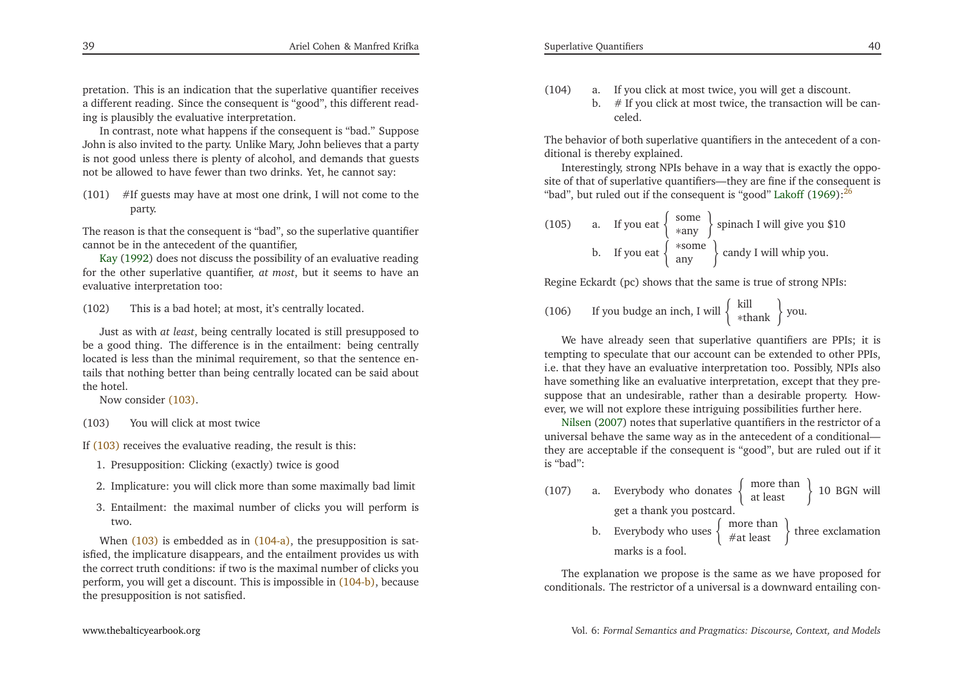<span id="page-20-4"></span><span id="page-20-3"></span>pretation. This is an indication that the superlative quantifier receives <sup>a</sup> different reading. Since the consequen<sup>t</sup> is "good", this different reading is <sup>p</sup>lausibly the evaluative interpretation.

In contrast, note what happens if the consequen<sup>t</sup> is "bad." Suppose John is also invited to the party. Unlike Mary, John believes that <sup>a</sup> party is not good unless there is <sup>p</sup>lenty of alcohol, and demands that guestsnot be allowed to have fewer than two drinks. Yet, he cannot say:

<span id="page-20-0"></span>(101) #If guests may have at most one drink, <sup>I</sup> will not come to theparty.

The reason is that the consequen<sup>t</sup> is "bad", so the superlative quantifiercannotbe in the antecedent of the quantifier,

Kay [\(1992](#page-28-21)) does not discuss the possibility of an evaluative reading for the other superlative quantifier, *at most*, but it seems to have anevaluative interpretation too:

(102) This is <sup>a</sup> bad hotel; at most, it's centrally located.

Just as with *at least*, being centrally located is still presupposed to be <sup>a</sup> good thing. The difference is in the entailment: being centrally located is less than the minimal requirement, so that the sentence entails that nothing better than being centrally located can be said aboutthe hotel.

Now consider [\(103\).](#page-20-0)

(103) You will click at most twice

If [\(103\)](#page-20-0) receives the evaluative reading, the result is this:

- 1. Presupposition: Clicking (exactly) twice is good
- 2. Implicature: you will click more than some maximally bad limit
- 3. Entailment: the maximal number of clicks you will perform is two.

When [\(103\)](#page-20-0) is embedded as in [\(104-a\),](#page-20-1) the presupposition is satisfied, the implicature disappears, and the entailment provides us with the correct truth conditions: if two is the maximal number of clicks you perform, you will ge<sup>t</sup> <sup>a</sup> discount. This is impossible in [\(104-b\),](#page-20-2) because the presupposition is not satisfied.

- <span id="page-20-2"></span><span id="page-20-1"></span>(104) a. If you click at most twice, you will ge<sup>t</sup> <sup>a</sup> discount.
	- b.  $#$  If you click at most twice, the transaction will be canceled.

The behavior of both superlative quantifiers in the antecedent of <sup>a</sup> conditional is thereby explained.

Interestingly, strong NPIs behave in <sup>a</sup> way that is exactly the opposite of that of superlative quantifiers—they are fine if the consequen<sup>t</sup> is"bad", but ruled out if the consequent is "good" [Lakoff](#page-28-22) [\(1969](#page-28-22)):<sup>[26](#page-27-30)</sup>

(105) a. If you eat 
$$
\begin{Bmatrix} some \\ *any \end{Bmatrix}
$$
 spinach I will give you \$10  
b. If you eat  $\begin{Bmatrix} *some \\ any \end{Bmatrix}$  candy I will whip you.

Regine Eckardt (pc) shows that the same is true of strong NPIs:

(106) If you budge an inch, I will  $\begin{cases} \text{kill} \\ \text{*thank} \end{cases}$  you.

<span id="page-20-5"></span>We have already seen that superlative quantifiers are PPIs; it is tempting to speculate that our account can be extended to other PPIs, i.e. that they have an evaluative interpretation too. Possibly, NPIs also have something like an evaluative interpretation, excep<sup>t</sup> that they presuppose that an undesirable, rather than <sup>a</sup> desirable property. However,we will not explore these intriguing possibilities further here.

Nilsen [\(2007](#page-28-17)) notes that superlative quantifiers in the restrictor of <sup>a</sup> universal behave the same way as in the antecedent of <sup>a</sup> conditional they are acceptable if the consequen<sup>t</sup> is "good", but are ruled out if itis "bad":

- (107) a. Everybody who donates  $\begin{cases} \text{more than} \\ \text{at least} \end{cases}$  10 BGN will ge<sup>t</sup> <sup>a</sup> thank you postcard.
	- b. Everybody who uses  $\begin{cases} \begin{array}{c} \text{more than} \\ \# \text{at least} \end{array} \end{cases}$  three exclamation marks is <sup>a</sup> fool.

The explanation we propose is the same as we have proposed forconditionals. The restrictor of <sup>a</sup> universal is <sup>a</sup> downward entailing con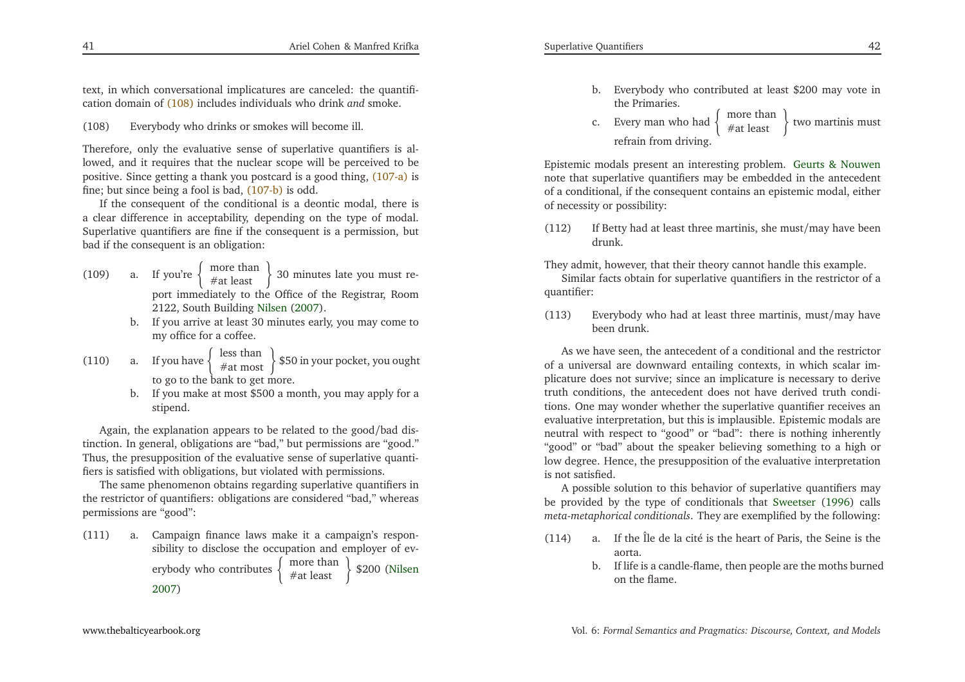text, in which conversational implicatures are canceled: the quantification domain of [\(108\)](#page-21-0) includes individuals who drink *and* smoke.

(108) Everybody who drinks or smokes will become ill.

Therefore, only the evaluative sense of superlative quantifiers is allowed, and it requires that the nuclear scope will be perceived to be positive. Since getting <sup>a</sup> thank you postcard is <sup>a</sup> good thing, [\(107-a\)](#page-20-3) is fine; but since being <sup>a</sup> fool is bad, [\(107-b\)](#page-20-4) is odd.

If the consequen<sup>t</sup> of the conditional is <sup>a</sup> deontic modal, there is <sup>a</sup> clear difference in acceptability, depending on the type of modal. Superlative quantifiers are fine if the consequen<sup>t</sup> is <sup>a</sup> permission, butbad if the consequen<sup>t</sup> is an obligation:

- (109) a. If you're  $\begin{cases} \text{more than} \\ \# \text{at least} \end{cases}$  30 minutes late you must repor<sup>t</sup> immediately to the Office of the Registrar, Room2122, South Building [Nilsen](#page-28-17) [\(2007](#page-28-17)).
	- b. If you arrive at least <sup>30</sup> minutes early, you may come tomy office for <sup>a</sup> coffee.
- (110) a. If you have  $\begin{cases} \text{less than} \\ \# \text{at most} \end{cases}$  \$50 in your pocket, you ought to go to the bank to ge<sup>t</sup> more.
	- b. If you make at most \$500 <sup>a</sup> month, you may apply for <sup>a</sup>stipend.

Again, the explanation appears to be related to the good/bad distinction. In general, obligations are "bad," but permissions are "good." Thus, the presupposition of the evaluative sense of superlative quantifiers is satisfied with obligations, but violated with permissions.

The same <sup>p</sup>henomenon obtains regarding superlative quantifiers in the restrictor of quantifiers: obligations are considered "bad," whereaspermissions are "good":

(111) a. Campaign finance laws make it <sup>a</sup> campaign's responsibility to disclose the occupation and employer of everybody who contributes  $\left\{\begin{array}{l}\text{more than }\\text{#at least }\end{array}\right\}$  \$200 [\(Nilsen](#page-28-17) [2007](#page-28-17))

- b. Everybody who contributed at least \$200 may vote inthe Primaries.
- c. Every man who had  $\begin{cases} \begin{array}{c} \text{more than} \\ \text{\#at least} \end{array} \end{cases}$  two martinis must refrain from driving.

<span id="page-21-2"></span><span id="page-21-1"></span>Epistemic modals presen<sup>t</sup> an interesting problem. Geurts & [Nouwen](#page-28-1) note that superlative quantifiers may be embedded in the antecedent of <sup>a</sup> conditional, if the consequen<sup>t</sup> contains an epistemic modal, eitherof necessity or possibility:

(112) If Betty had at least three martinis, she must/may have beendrunk.

They admit, however, that their theory cannot handle this example.

Similar facts obtain for superlative quantifiers in the restrictor of <sup>a</sup>quantifier:

(113) Everybody who had at least three martinis, must/may havebeen drunk.

<span id="page-21-0"></span>As we have seen, the antecedent of <sup>a</sup> conditional and the restrictor of <sup>a</sup> universal are downward entailing contexts, in which scalar im<sup>p</sup>licature does not survive; since an implicature is necessary to derive truth conditions, the antecedent does not have derived truth conditions. One may wonder whether the superlative quantifier receives an evaluative interpretation, but this is implausible. Epistemic modals are neutral with respec<sup>t</sup> to "good" or "bad": there is nothing inherently "good" or "bad" about the speaker believing something to <sup>a</sup> high or low degree. Hence, the presupposition of the evaluative interpretationis not satisfied.

<sup>A</sup> possible solution to this behavior of superlative quantifiers may be provided by the type of conditionals that [Sweetser](#page-28-23) [\(1996](#page-28-23)) calls*meta-metaphorical conditionals*. They are exemplified by the following:

- (114) a. If the Île de la cité is the heart of Paris, the Seine is theaorta.
	- b. If life is <sup>a</sup> candle-flame, then people are the moths burnedon the flame.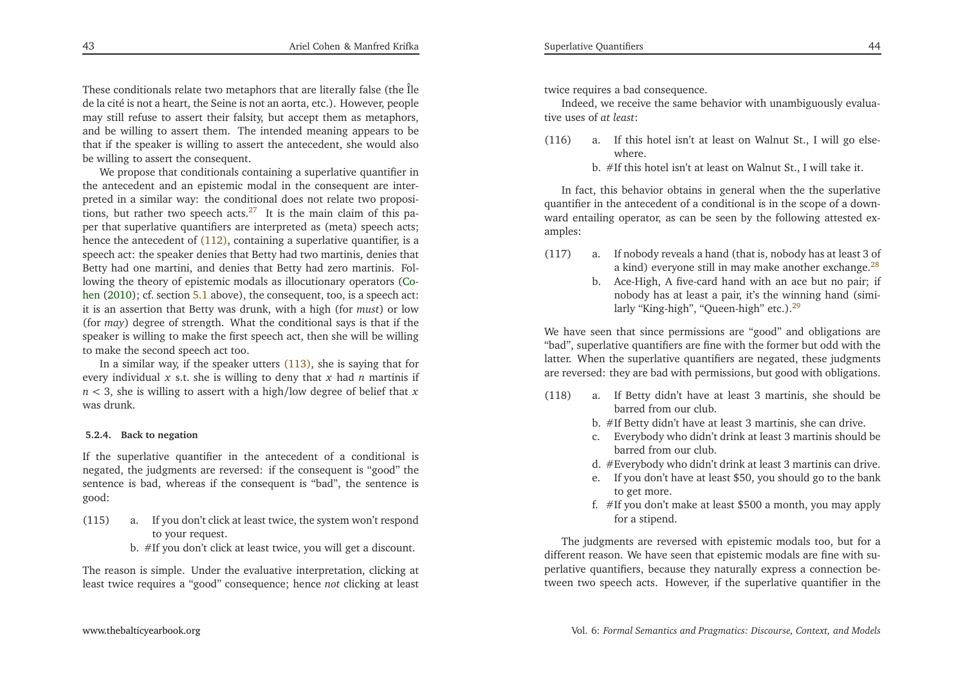These conditionals relate two metaphors that are literally false (the Île de la cité is not <sup>a</sup> heart, the Seine is not an aorta, etc.). However, people may still refuse to assert their falsity, but accep<sup>t</sup> them as metaphors, and be willing to assert them. The intended meaning appears to be that if the speaker is willing to assert the antecedent, she would alsobe willing to assert the consequent.

We propose that conditionals containing <sup>a</sup> superlative quantifier in the antecedent and an epistemic modal in the consequen<sup>t</sup> are interpreted in <sup>a</sup> similar way: the conditional does not relate two proposi-tions, but rather two speech acts.<sup>[27](#page-27-31)</sup> It is the main claim of this paper that superlative quantifiers are interpreted as (meta) speech acts;hence the antecedent of [\(112\),](#page-21-1) containing a superlative quantifier, is a speech act: the speaker denies that Betty had two martinis, denies that Betty had one martini, and denies that Betty had zero martinis. Following the theory of epistemic modals as illocutionar[y](#page-27-19) operators (Cohen [\(2010](#page-27-19)); cf. section [5.1](#page-15-2) above), the consequent, too, is <sup>a</sup> speec<sup>h</sup> act: it is an assertion that Betty was drunk, with <sup>a</sup> high (for *must*) or low (for *may*) degree of strength. What the conditional says is that if the speaker is willing to make the first speech act, then she will be willingto make the second speech act too.

In <sup>a</sup> similar way, if the speaker utters [\(113\),](#page-21-2) she is saying that for every individual *<sup>x</sup>* s.t. she is willing to deny that *<sup>x</sup>* had *<sup>n</sup>* martinis if *n <sup>&</sup>lt;* 3, she is willing to assert with <sup>a</sup> high/low degree of belief that *<sup>x</sup>* was drunk.

### **5.2.4. Back to negation**

If the superlative quantifier in the antecedent of <sup>a</sup> conditional is negated, the judgments are reversed: if the consequen<sup>t</sup> is "good" the sentence is bad, whereas if the consequen<sup>t</sup> is "bad", the sentence isgood:

- (115) a. If you don't click at least twice, the system won't respondto your request.
	- b. #If you don't click at least twice, you will ge<sup>t</sup> <sup>a</sup> discount.

The reason is simple. Under the evaluative interpretation, clicking atleast twice requires <sup>a</sup> "good" consequence; hence *not* clicking at least

twice requires <sup>a</sup> bad consequence.

Indeed, we receive the same behavior with unambiguously evaluative uses of *at least*:

- (116) a. If this hotel isn't at least on Walnut St., <sup>I</sup> will go elsewhere.
	- b. #If this hotel isn't at least on Walnut St., <sup>I</sup> will take it.

In fact, this behavior obtains in general when the the superlative quantifier in the antecedent of <sup>a</sup> conditional is in the scope of <sup>a</sup> downward entailing operator, as can be seen by the following attested examples:

- <span id="page-22-0"></span>(117) a. If nobody reveals <sup>a</sup> hand (that is, nobody has at least <sup>3</sup> of a kind) everyone still in may make another exchange. $^{28}$  $^{28}$  $^{28}$ 
	- b. Ace-High, <sup>A</sup> five-card hand with an ace but no pair; if nobody has at least <sup>a</sup> pair, it's the winning hand (simi-larly "King-high", "Queen-high" etc.).<sup>[29](#page-27-33)</sup>

<span id="page-22-2"></span>We have seen that since permissions are "good" and obligations are "bad", superlative quantifiers are fine with the former but odd with the latter. When the superlative quantifiers are negated, these judgments are reversed: they are bad with permissions, but good with obligations.

- <span id="page-22-1"></span>(118) a. If Betty didn't have at least <sup>3</sup> martinis, she should bebarred from our club.
	- b. #If Betty didn't have at least <sup>3</sup> martinis, she can drive.
	- c. Everybody who didn't drink at least <sup>3</sup> martinis should bebarred from our club.
	- d. #Everybody who didn't drink at least <sup>3</sup> martinis can drive.
	- e. If you don't have at least \$50, you should go to the bankto ge<sup>t</sup> more.
	- f. #If you don't make at least \$500 <sup>a</sup> month, you may applyfor <sup>a</sup> stipend.

The judgments are reversed with epistemic modals too, but for <sup>a</sup> different reason. We have seen that epistemic modals are fine with superlative quantifiers, because they naturally express <sup>a</sup> connection between two speech acts. However, if the superlative quantifier in the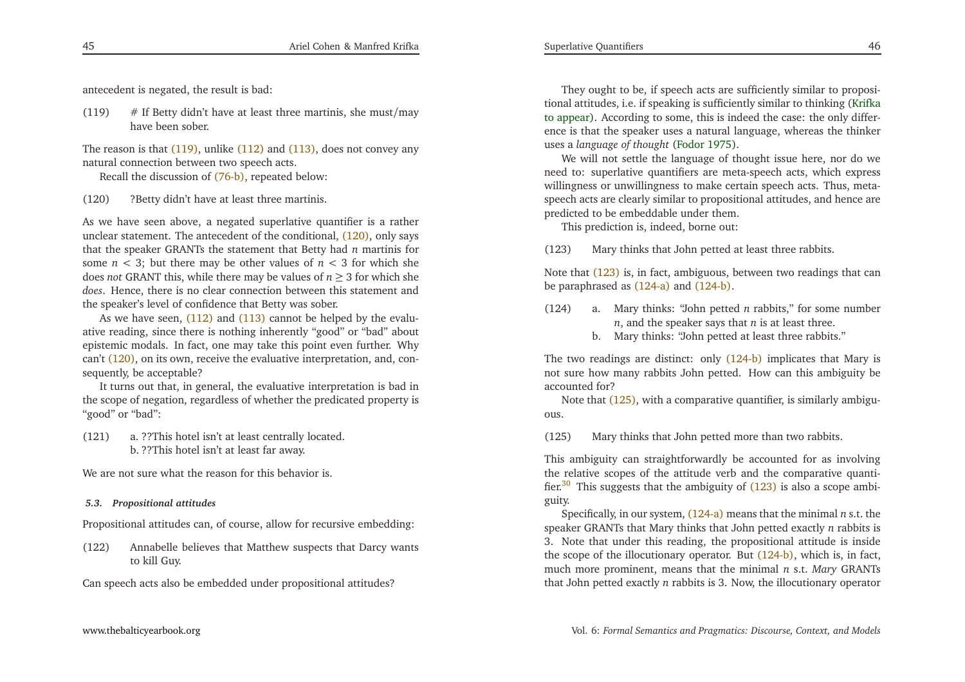<span id="page-23-6"></span><span id="page-23-5"></span>antecedent is negated, the result is bad:

(119)  $\#$  If Betty didn't have at least three martinis, she must/may have been sober.

The reason is that [\(119\),](#page-23-0) unlike [\(112\)](#page-21-1) and [\(113\),](#page-21-2) does not convey any natural connection between two speech acts.

Recall the discussion of [\(76-b\),](#page-15-1) repeated below:

(120) ?Betty didn't have at least three martinis.

As we have seen above, <sup>a</sup> negated superlative quantifier is <sup>a</sup> ratherunclear statement. The antecedent of the conditional, [\(120\),](#page-23-1) only says that the speaker GRANTs the statement that Betty had *<sup>n</sup>* martinis for some  $n < 3$ ; but there may be other values of  $n < 3$  for which she does *not* GRANT this, while there may be values of *<sup>n</sup>* <sup>≥</sup> <sup>3</sup> for which she *does*. Hence, there is no clear connection between this statement andthe speaker's level of confidence that Betty was sober.

As we have seen, [\(112\)](#page-21-1) and [\(113\)](#page-21-2) cannot be helped by the evaluative reading, since there is nothing inherently "good" or "bad" about epistemic modals. In fact, one may take this point even further. Whycan't [\(120\),](#page-23-1) on its own, receive the evaluative interpretation, and, consequently, be acceptable?

 It turns out that, in general, the evaluative interpretation is bad in the scope of negation, regardless of whether the predicated property is "good" or "bad":

(121) a. ??This hotel isn't at least centrally located. b. ??This hotel isn't at least far away.

We are not sure what the reason for this behavior is.

# *5.3. Propositional attitudes*

Propositional attitudes can, of course, allow for recursive embedding:

(122) Annabelle believes that Matthew suspects that Darcy wantsto kill Guy.

Can speech acts also be embedded under propositional attitudes?

<span id="page-23-4"></span><span id="page-23-3"></span>They ought to be, if speech acts are sufficiently similar to propositional attitudes, i.e. if speaking is sufficiently similar to thinking [\(Krifka](#page-28-16) to [appear](#page-28-16)). According to some, this is indeed the case: the only differ ence is that the speaker uses <sup>a</sup> natural language, whereas the thinker uses <sup>a</sup> *language of thought* [\(Fodor](#page-28-24) [1975](#page-28-24)).

We will not settle the language of thought issue here, nor do we need to: superlative quantifiers are meta-speech acts, which express willingness or unwillingness to make certain speech acts. Thus, metaspeech acts are clearly similar to propositional attitudes, and hence arepredicted to be embeddable under them.

This prediction is, indeed, borne out:

<span id="page-23-2"></span>(123) Mary thinks that John petted at least three rabbits.

<span id="page-23-0"></span>Note that [\(123\)](#page-23-2) is, in fact, ambiguous, between two readings that canbe paraphrased as [\(124-a\)](#page-23-3) and [\(124-b\).](#page-23-4)

- (124) a. Mary thinks: "John petted *<sup>n</sup>* rabbits," for some number *<sup>n</sup>*, and the speaker says that *<sup>n</sup>* is at least three.
	- b. Mary thinks: "John petted at least three rabbits."

<span id="page-23-1"></span>The two readings are distinct: only [\(124-b\)](#page-23-4) implicates that Mary is not sure how many rabbits John petted. How can this ambiguity be accounted for?

 Note that [\(125\),](#page-23-5) with <sup>a</sup> comparative quantifier, is similarly ambiguous.

(125) Mary thinks that John petted more than two rabbits.

This ambiguity can straightforwardly be accounted for as involving the relative scopes of the attitude verb and the comparative quantifier. $30$  This suggests that the ambiguity of  $(123)$  is also a scope ambiguity.

Specifically, in our system, [\(124-a\)](#page-23-3) means that the minimal *<sup>n</sup>* s.t. the speaker GRANTs that Mary thinks that John petted exactly *<sup>n</sup>* rabbits is 3. Note that under this reading, the propositional attitude is inside the scope of the illocutionary operator. But [\(124-b\),](#page-23-4) which is, in fact, much more prominent, means that the minimal *<sup>n</sup>* s.t. *Mary* GRANTs that John petted exactly *<sup>n</sup>* rabbits is 3. Now, the illocutionary operator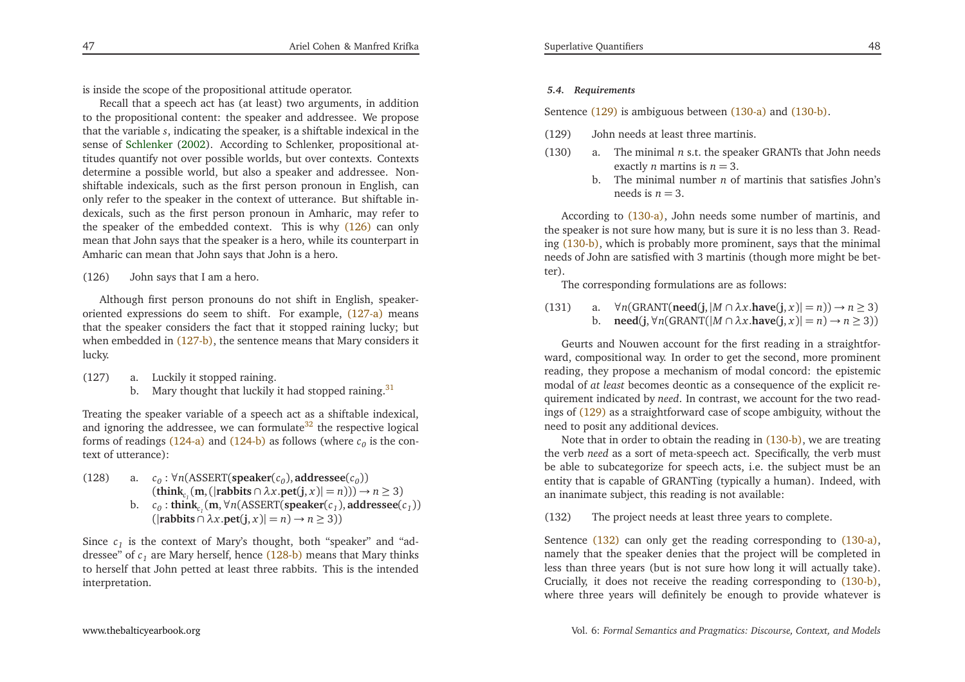<span id="page-24-3"></span><span id="page-24-2"></span>is inside the scope of the propositional attitude operator.

Recall that <sup>a</sup> speech act has (at least) two arguments, in addition to the propositional content: the speaker and addressee. We propose that the variable *<sup>s</sup>*, indicating the speaker, is <sup>a</sup> shiftable indexical in the sense of [Schlenker](#page-28-25) [\(2002](#page-28-25)). According to Schlenker, propositional attitudes quantify not over possible worlds, but over contexts. Contexts determine <sup>a</sup> possible world, but also <sup>a</sup> speaker and addressee. Nonshiftable indexicals, such as the first person pronoun in English, can only refer to the speaker in the context of utterance. But shiftable indexicals, such as the first person pronoun in Amharic, may refer to the speaker of the embedded context. This is why [\(126\)](#page-24-0) can only mean that John says that the speaker is <sup>a</sup> hero, while its counterpart inAmharic can mean that John says that John is <sup>a</sup> hero.

(126) John says that <sup>I</sup> am <sup>a</sup> hero.

<span id="page-24-10"></span><span id="page-24-7"></span>Although first person pronouns do not shift in English, speakeroriented expressions do seem to shift. For example, [\(127-a\)](#page-24-1) means that the speaker considers the fact that it stopped raining lucky; butwhen embedded in [\(127-b\),](#page-24-2) the sentence means that Mary considers it lucky.

- <span id="page-24-9"></span>(127) a. Luckily it stopped raining.
	- b. Mary thought that luckily it had stopped raining.<sup>[31](#page-27-35)</sup>

Treating the speaker variable of <sup>a</sup> speech act as <sup>a</sup> shiftable indexical, and ignoring the addressee, we can formulate  $32$  the respective logical forms of readings  $(124-a)$  and  $(124-b)$  as follows (where  $c_0$  is the context of utterance):

- (128) a.  $c_0$ :  $\forall n$ (ASSERT(**speaker**( $c_0$ ), **addressee**( $c_0$ ))  $(\text{think}_c_1(\text{m},(|\text{rabbits} \cap \lambda x.\text{pet}(j, x)| = n))) \rightarrow n \geq 3)$ 
	- b.  $c_0$ : **think**<sub>c<sub>1</sub></sub>(**m**,  $\forall n$ (ASSERT(**speaker**( $c_1$ ), **addressee**( $c_1$ ))  $(|\text{rabbits} \cap \lambda x.\text{pet}(j, x)| = n) \to n \geq 3)$

Since  $c_1$  is the context of Mary's thought, both "speaker" and "addressee" of *<sup>c</sup><sup>1</sup>* are Mary herself, hence [\(128-b\)](#page-24-3) means that Mary thinks to herself that John petted at least three rabbits. This is the intendedinterpretation.

# <span id="page-24-6"></span><span id="page-24-5"></span>*5.4. Requirements*

<span id="page-24-1"></span>Sentence [\(129\)](#page-24-4) is ambiguous between [\(130-a\)](#page-24-5) and [\(130-b\).](#page-24-6)

- (129) John needs at least three martinis.
- (130) a. The minimal*n* s.t. the speaker GRANTs that John needs exactly*n* martins is *n*= 3.
	- b. The minimal number*n* of martinis that satisfies John's needs is*n*= 3.

According to [\(130-a\),](#page-24-5) John needs some number of martinis, and the speaker is not sure how many, but is sure it is no less than 3. Reading [\(130-b\),](#page-24-6) which is probably more prominent, says that the minimal needs of John are satisfied with <sup>3</sup> martinis (though more might be better).

The corresponding formulations are as follows:

<span id="page-24-8"></span> $(131)$ ∀*<sup>n</sup>*(GRANT(**need**(**j**,|*<sup>M</sup>*∩*λ<sup>x</sup>*.**have**(**j**, *<sup>x</sup>*)| <sup>=</sup>*n*))→*n*≥ <sup>3</sup>) b. **need**(**j**,  $\forall n$ (GRANT(|*M*  $\cap \lambda x$ **.have**(**j**, *x*)| = *n*)  $\rightarrow$  *n* ≥ 3))

<span id="page-24-4"></span><span id="page-24-0"></span>Geurts and Nouwen account for the first reading in <sup>a</sup> straightforward, compositional way. In order to ge<sup>t</sup> the second, more prominent reading, they propose <sup>a</sup> mechanism of modal concord: the epistemic modal of *at least* becomes deontic as <sup>a</sup> consequence of the explicit requirement indicated by *need*. In contrast, we account for the two readings of [\(129\)](#page-24-4) as <sup>a</sup> straightforward case of scope ambiguity, without theneed to posit any additional devices.

Note that in order to obtain the reading in [\(130-b\),](#page-24-6) we are treating the verb *need* as <sup>a</sup> sort of meta-speech act. Specifically, the verb must be able to subcategorize for speech acts, i.e. the subject must be an entity that is capable of GRANTing (typically <sup>a</sup> human). Indeed, withan inanimate subject, this reading is not available:

(132) The project needs at least three years to complete.

Sentence [\(132\)](#page-24-7) can only get the reading corresponding to [\(130-a\),](#page-24-5) namely that the speaker denies that the project will be completed in less than three years (but is not sure how long it will actually take). Crucially, it does not receive the reading corresponding to [\(130-b\),](#page-24-6) where three years will definitely be enough to provide whatever is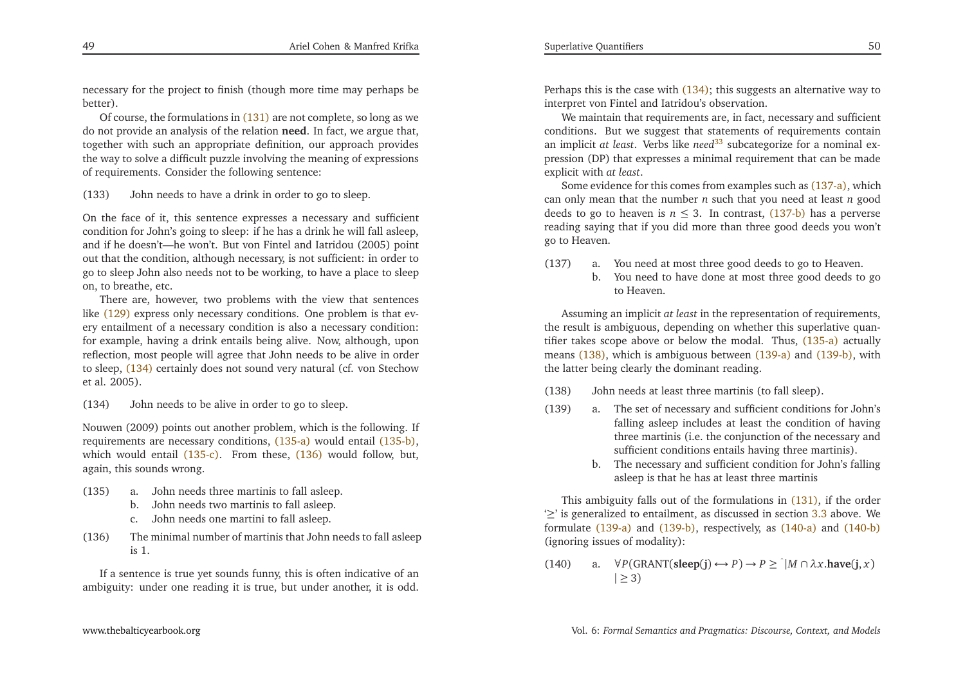<span id="page-25-10"></span><span id="page-25-9"></span><span id="page-25-8"></span><span id="page-25-4"></span><span id="page-25-3"></span><span id="page-25-2"></span><span id="page-25-1"></span>necessary for the project to finish (though more time may perhaps bebetter).

Of course, the formulations in [\(131\)](#page-24-8) are not complete, so long as we do not provide an analysis of the relation **need**. In fact, we argue that, together with such an appropriate definition, our approach provides the way to solve <sup>a</sup> difficult puzzle involving the meaning of expressionsof requirements. Consider the following sentence:

<span id="page-25-0"></span>(133) John needs to have <sup>a</sup> drink in order to go to sleep.

On the face of it, this sentence expresses <sup>a</sup> necessary and sufficient condition for John's going to sleep: if he has <sup>a</sup> drink he will fall asleep, and if he doesn't—he won't. But von Fintel and Iatridou (2005) point out that the condition, although necessary, is not sufficient: in order to go to sleep John also needs not to be working, to have <sup>a</sup> <sup>p</sup>lace to sleepon, to breathe, etc.

There are, however, two problems with the view that sentenceslike [\(129\)](#page-24-4) express only necessary conditions. One problem is that every entailment of <sup>a</sup> necessary condition is also <sup>a</sup> necessary condition: for example, having <sup>a</sup> drink entails being alive. Now, although, upon reflection, most people will agree that John needs to be alive in order to sleep, [\(134\)](#page-25-0) certainly does not sound very natural (cf. von Stechowet al. 2005).

(134) John needs to be alive in order to go to sleep.

Nouwen (2009) points out another problem, which is the following. If requirements are necessary conditions, [\(135-a\)](#page-25-1) would entail [\(135-b\),](#page-25-2) which would entail [\(135-c\).](#page-25-3) From these, [\(136\)](#page-25-4) would follow, but, again, this sounds wrong.

- (135) a. John needs three martinis to fall asleep.
	- b. John needs two martinis to fall asleep.
	- c. John needs one martini to fall asleep.
- (136) The minimal number of martinis that John needs to fall asleepis 1.

If <sup>a</sup> sentence is true ye<sup>t</sup> sounds funny, this is often indicative of anambiguity: under one reading it is true, but under another, it is odd.

<span id="page-25-6"></span><span id="page-25-5"></span>Perhaps this is the case with [\(134\);](#page-25-0) this suggests an alternative way to interpret von Fintel and Iatridou's observation.

We maintain that requirements are, in fact, necessary and sufficient conditions. But we sugges<sup>t</sup> that statements of requirements contain an implicit *at least*. Verbs like *need*[33](#page-27-37) subcategorize for <sup>a</sup> nominal expression (DP) that expresses <sup>a</sup> minimal requirement that can be made explicit with *at least*.

Some evidence for this comes from examples such as [\(137-a\),](#page-25-5) which can only mean that the number *<sup>n</sup>* such that you need at least *<sup>n</sup>* good deeds to go to heaven is *<sup>n</sup>* <sup>≤</sup> 3. In contrast, [\(137-b\)](#page-25-6) has <sup>a</sup> perverse reading saying that if you did more than three good deeds you won'tgo to Heaven.

- <span id="page-25-11"></span>(137) a. You need at most three good deeds to go to Heaven.
	- b. You need to have done at most three good deeds to goto Heaven.

<span id="page-25-7"></span>Assuming an implicit *at least* in the representation of requirements, the result is ambiguous, depending on whether this superlative quantifier takes scope above or below the modal. Thus, [\(135-a\)](#page-25-1) actually means [\(138\),](#page-25-7) which is ambiguous between [\(139-a\)](#page-25-8) and [\(139-b\),](#page-25-9) with the latter being clearly the dominant reading.

- (138) John needs at least three martinis (to fall sleep).
- (139) a. The set of necessary and sufficient conditions for John's falling asleep includes at least the condition of having three martinis (i.e. the conjunction of the necessary andsufficient conditions entails having three martinis).
	- b. The necessary and sufficient condition for John's fallingasleep is that he has at least three martinis

This ambiguity falls out of the formulations in [\(131\),](#page-24-8) if the order '≥' is generalized to entailment, as discussed in section [3.3](#page-12-1) above. We formulate [\(139-a\)](#page-25-8) and [\(139-b\),](#page-25-9) respectively, as [\(140-a\)](#page-25-10) and [\(140-b\)](#page-26-0) (ignoring issues of modality):

(140) a.  $\forall P(\text{GRANT}(\text{sleep}(j) \leftrightarrow P) \rightarrow P \geq \exists M \cap \lambda x.\text{have}(j, x)$ <br> $| \geq 3)$  $|\geq 3)$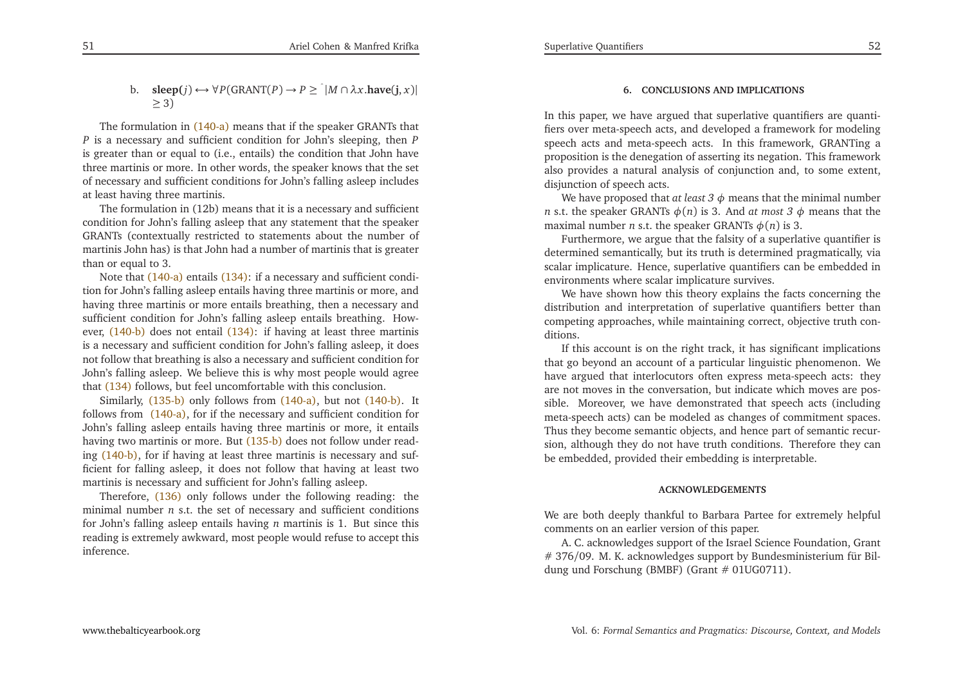b. **sleep(***j*)  $\leftrightarrow \forall P$ (GRANT(*P*)  $\rightarrow P \geq \exists M \cap \lambda x$ **.have**(**j**, *x*)|  $\geq$  3)

The formulation in [\(140-a\)](#page-25-10) means that if the speaker GRANTs that *P* is <sup>a</sup> necessary and sufficient condition for John's sleeping, then*P* is greater than or equal to (i.e., entails) the condition that John have three martinis or more. In other words, the speaker knows that the set of necessary and sufficient conditions for John's falling asleep includesat least having three martinis.

The formulation in (12b) means that it is <sup>a</sup> necessary and sufficient condition for John's falling asleep that any statement that the speaker GRANTs (contextually restricted to statements about the number of martinis John has) is that John had <sup>a</sup> number of martinis that is greaterthan or equal to 3.

Note that [\(140-a\)](#page-25-10) entails [\(134\)](#page-25-0): if a necessary and sufficient condition for John's falling asleep entails having three martinis or more, and having three martinis or more entails breathing, then <sup>a</sup> necessary and sufficient condition for John's falling asleep entails breathing. How-ever, [\(140-b\)](#page-26-0) does not entail [\(134\):](#page-25-0) if having at least three martinis is <sup>a</sup> necessary and sufficient condition for John's falling asleep, it does not follow that breathing is also <sup>a</sup> necessary and sufficient condition for John's falling asleep. We believe this is why most people would agreethat [\(134\)](#page-25-0) follows, but feel uncomfortable with this conclusion.

Similarly,  $(135-b)$  only follows from  $(140-a)$ , but not  $(140-b)$ . It follows from [\(140-a\),](#page-25-10) for if the necessary and sufficient condition for<br>Jahrie folling aslass antaila having thus magnitude an manner it antails John's falling asleep entails having three martinis or more, it entailshaving two martinis or more. But [\(135-b\)](#page-25-2) does not follow under reading [\(140-b\),](#page-26-0) for if having at least three martinis is necessary and sufficient for falling asleep, it does not follow that having at least twomartinis is necessary and sufficient for John's falling asleep.

Therefore, [\(136\)](#page-25-4) only follows under the following reading: the minimal number*n* s.t. the set of necessary and sufficient conditions for John's falling asleep entails having*n* martinis is 1. But since this reading is extremely awkward, most people would refuse to accep<sup>t</sup> thisinference.

# <span id="page-26-0"></span>**6. CONCLUSIONS AND IMPLICATIONS**

In this paper, we have argued that superlative quantifiers are quantifiers over meta-speech acts, and developed <sup>a</sup> framework for modeling speech acts and meta-speech acts. In this framework, GRANTing <sup>a</sup> proposition is the denegation of asserting its negation. This framework also provides <sup>a</sup> natural analysis of conjunction and, to some extent, disjunction of speech acts.

We have proposed that *at least*  $3 \phi$  means that the minimal number *n* s.t. the speaker GRANTs  $\phi(n)$  is 3. And *at most* 3  $\phi$  means that the maximal number*n* s.t. the speaker GRANTs *φ*(*n*) is 3.

 Furthermore, we argue that the falsity of <sup>a</sup> superlative quantifier is determined semantically, but its truth is determined pragmatically, via scalar implicature. Hence, superlative quantifiers can be embedded inenvironments where scalar implicature survives.

We have shown how this theory explains the facts concerning the distribution and interpretation of superlative quantifiers better than competing approaches, while maintaining correct, objective truth conditions.

 If this account is on the right track, it has significant implications that go beyond an account of <sup>a</sup> particular linguistic <sup>p</sup>henomenon. We have argued that interlocutors often express meta-speech acts: they are not moves in the conversation, but indicate which moves are possible. Moreover, we have demonstrated that speech acts (including meta-speech acts) can be modeled as changes of commitment spaces. Thus they become semantic objects, and hence par<sup>t</sup> of semantic recursion, although they do not have truth conditions. Therefore they canbe embedded, provided their embedding is interpretable.

#### **ACKNOWLEDGEMENTS**

We are both deeply thankful to Barbara Partee for extremely helpfulcomments on an earlier version of this paper.

A. C. acknowledges suppor<sup>t</sup> of the Israel Science Foundation, Grant # 376/09. M. K. acknowledges suppor<sup>t</sup> by Bundesministerium für Bildung und Forschung (BMBF) (Grant # 01UG0711).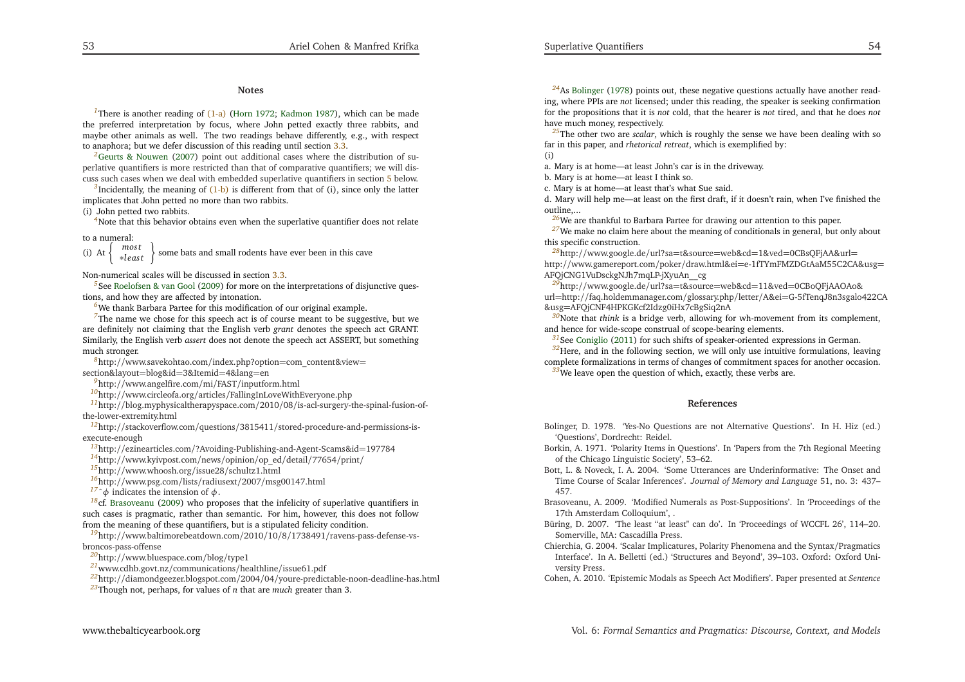#### <span id="page-27-39"></span><span id="page-27-38"></span><span id="page-27-37"></span><span id="page-27-36"></span><span id="page-27-35"></span><span id="page-27-34"></span><span id="page-27-27"></span><span id="page-27-20"></span><span id="page-27-17"></span><span id="page-27-16"></span><span id="page-27-15"></span><span id="page-27-14"></span><span id="page-27-13"></span><span id="page-27-12"></span><span id="page-27-11"></span><span id="page-27-10"></span><span id="page-27-9"></span><span id="page-27-8"></span><span id="page-27-7"></span><span id="page-27-6"></span><span id="page-27-5"></span>**Notes**

<span id="page-27-26"></span><span id="page-27-25"></span><span id="page-27-24"></span><span id="page-27-23"></span><span id="page-27-22"></span><span id="page-27-21"></span><span id="page-27-19"></span>*[1](#page-1-2)*There is another reading of [\(1-a\)](#page-1-0) [\(Horn](#page-28-11) [1972](#page-28-11); [Kadmon](#page-28-12) [1987](#page-28-12)), which can be made the preferred interpretation by focus, where John petted exactly three rabbits, and maybe other animals as well. The two readings behave differently, e.g., with respec<sup>t</sup>to anaphora; but we defer discussion of this reading until section [3.3.](#page-12-1)

<span id="page-27-18"></span>*[2](#page-2-9)*Geurts & [Nouwen](#page-28-1) [\(2007](#page-28-1)) point out additional cases where the distribution of superlative quantifiers is more restricted than that of comparative quantifiers; we will discuss such cases when we deal with embedded superlative quantifiers in section [5](#page-15-3) below.

*[3](#page-3-7)*Incidentally, the meaning of [\(1-b\)](#page-1-1) is different from that of (i), since only the latter implicates that John petted no more than two rabbits.

(i) John petted two rabbits.

<sup>[4](#page-4-7)</sup>Note that this behavior obtains even when the superlative quantifier does not relate

to <sup>a</sup> numeral:

 $most$ (i) At *mos <sup>t</sup>* <sup>∗</sup>*l eas <sup>t</sup>*some bats and small rodents have ever been in this cave

Non-numerical scales will be discussed in section [3.3.](#page-12-1)

*[5](#page-7-0)*See [Roelofsen](#page-28-26) & van Gool [\(2009](#page-28-26)) for more on the interpretations of disjunctive questions, and how they are affected by intonation.

*[6](#page-9-4)*We thank Barbara Partee for this modification of our original example.

<sup>[7](#page-9-5)</sup>The name we chose for this speech act is of course meant to be suggestive, but we are definitely not claiming that the English verb *gran<sup>t</sup>* denotes the speec<sup>h</sup> act GRANT. Similarly, the English verb *assert* does not denote the speec<sup>h</sup> act ASSERT, but something much stronger.

*[8](#page-12-2)*[ht](h)tp://www.savekohtao.com/index.php?option=com\_content&view=section&layout=blog&id=3&Itemid=4&lang=en

*[9](#page-12-3)*[ht](h)tp://www.angelfire.com/mi/FAST/inputform.html

*[10](#page-12-4)*[ht](h)tp://www.circleofa.org/articles/FallingInLoveWithEveryone.php

 *[11](#page-12-5)*[ht](h)tp://blog.myphysicaltherapyspace.com/2010/08/is-acl-surgery-the-spinal-fusion-ofthe-lower-extremity.html

 *[12](#page-12-6)*[ht](h)tp://stackoverflow.com/questions/3815411/stored-procedure-and-permissions-isexecute-enough

*[13](#page-12-7)*[ht](h)tp://ezinearticles.com/?Avoiding-Publishing-and-Agent-Scams&id=197784

*[14](#page-13-6)*[ht](h)tp://www.kyivpost.com/news/opinion/op\_ed/detail/77654/print/

*[15](#page-13-7)*[ht](h)tp://www.whoosh.org/issue28/schultz1.html

*[16](#page-13-8)*[ht](h)tp://www.psg.com/lists/radiusext/2007/msg00147.html

*<sup>[17](#page-13-9)</sup>*  $\hat{\phi}$  indicates the intension of  $\phi$ .

 *[18](#page-13-10)*cf. [Brasoveanu](#page-27-38) [\(2009](#page-27-38)) who proposes that the infelicity of superlative quantifiers in such cases is pragmatic, rather than semantic. For him, however, this does not followfrom the meaning of these quantifiers, but is <sup>a</sup> stipulated felicity condition.

*[19](#page-16-4)*[ht](h)tp://www.baltimorebeatdown.com/2010/10/8/1738491/ravens-pass-defense-vsbroncos-pass-offense

*[20](#page-16-5)*[ht](h)tp://www.bluespace.com/blog/type1

*[21](#page-16-6)* [ww](w)w.cdhb.govt.nz/communications/healthline/issue61.pdf

*[22](#page-16-7)*[ht](h)tp://diamondgeezer.blogspot.com/2004/04/youre-predictable-noon-deadline-has.html

*[23](#page-16-8)*Though not, perhaps, for values of *<sup>n</sup>* that are *much* greater than 3.

<span id="page-27-33"></span><span id="page-27-32"></span><span id="page-27-31"></span><span id="page-27-30"></span><span id="page-27-29"></span><span id="page-27-1"></span>*[24](#page-17-4)*As [Bolinger](#page-27-39) [\(1978](#page-27-39)) points out, these negative questions actually have another reading, where PPIs are *not* licensed; under this reading, the speaker is seeking confirmation for the propositions that it is *not* cold, that the hearer is *not* tired, and that he does *not* have much money, respectively.

<span id="page-27-28"></span>*[25](#page-18-5)*The other two are *scalar*, which is roughly the sense we have been dealing with sofar in this paper, and *rhetorical retreat*, which is exemplified by:

(i)

a. Mary is at home—at least John's car is in the driveway.

b. Mary is at home—at least <sup>I</sup> think so.

c. Mary is at home—at least that's what Sue said.

<span id="page-27-4"></span><span id="page-27-2"></span>d. Mary will help me—at least on the first draft, if it doesn't rain, when I've finished theoutline,...

*[26](#page-20-5)*We are thankful to Barbara Partee for drawing our attention to this paper.

<sup>[27](#page-22-0)</sup>We make no claim here about the meaning of conditionals in general, but only about this specific construction.

<span id="page-27-3"></span>*[28](#page-22-1)*[ht](h)tp://www.google.de/url?sa=t&source=web&cd=1&ved=0CBsQFjAA&url= http://www.gamereport.com/poker/draw.html&ei=e-1fTYmFMZDGtAaM55C2CA&usg=AFQjCNG1VuDsckgNJh7mqLP-jXyuAn\_\_cg

 *[29](#page-22-2)*[ht](h)tp://www.google.de/url?sa=t&source=web&cd=11&ved=0CBoQFjAAOAo& url=http://faq.holdemmanager.com/glossary.php/letter/A&ei=G-5fTenqJ8n3sgalo422CA&usg=AFQjCNF4HPKGKcf2Idzg0iHx7cBgSiq2nA

 *[30](#page-23-6)*Note that *think* is <sup>a</sup> bridge verb, allowing for wh-movement from its complement, and hence for wide-scope construal of scope-bearing elements.

<span id="page-27-0"></span><sup>[31](#page-24-9)</sup>See [Coniglio](#page-28-27) [\(2011\)](#page-28-27) for such shifts of speaker-oriented expressions in German.

<sup>[32](#page-24-10)</sup>Here, and in the following section, we will only use intuitive formulations, leaving complete formalizations in terms of changes of commitment spaces for another occasion.

*[33](#page-25-11)*We leave open the question of which, exactly, these verbs are.

#### **References**

- Bolinger, D. 1978. 'Yes-No Questions are not Alternative Questions'. In H. Hiz (ed.)'Questions', Dordrecht: Reidel.
- Borkin, A. 1971. 'Polarity Items in Questions'. In 'Papers from the 7th Regional Meetingof the Chicago Linguistic Society', 53–62.
- Bott, L. & Noveck, I. A. 2004. 'Some Utterances are Underinformative: The Onset and Time Course of Scalar Inferences'. *Journal of Memory and Language* 51, no. 3: 437–457.
- Brasoveanu, A. 2009. 'Modified Numerals as Post-Suppositions'. In 'Proceedings of the17th Amsterdam Colloquium', .
- Büring, D. 2007. 'The least "at least" can do'. In 'Proceedings of WCCFL 26', 114–20. Somerville, MA: Cascadilla Press.
- Chierchia, G. 2004. 'Scalar Implicatures, Polarity Phenomena and the Syntax/Pragmatics Interface'. In A. Belletti (ed.) 'Structures and Beyond', 39–103. Oxford: Oxford University Press.

Cohen, A. 2010. 'Epistemic Modals as Speech Act Modifiers'. Paper presented at *Sentence*